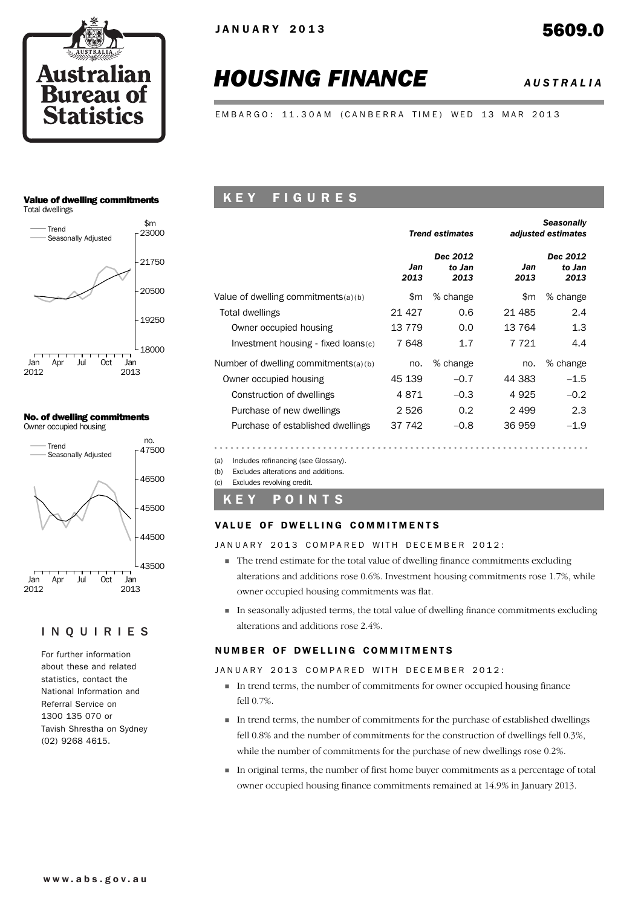

# *HOUSING FINANCE AUSTRALIA*

EMBARGO: 11.30AM (CANBERRA TIME) WED 13 MAR 2013

# Value of dwelling commitments



#### No. of dwelling commitments Owner occupied housing

2013

2012



#### INQUIRIES

For further information about these and related statistics, contact the National Information and Referral Service on 1300 135 070 or Tavish Shrestha on Sydney (02) 9268 4615.

# K E Y F I G U R E S

|                                        |             | <b>Trend estimates</b>     |             | <b>Seasonally</b><br>adjusted estimates |
|----------------------------------------|-------------|----------------------------|-------------|-----------------------------------------|
|                                        | Jan<br>2013 | Dec 2012<br>to Jan<br>2013 | Jan<br>2013 | Dec 2012<br>to Jan<br>2013              |
| Value of dwelling commitments $(a)(b)$ | \$m         | % change                   | \$m         | % change                                |
| Total dwellings                        | 21 4 27     | 0.6                        | 21 485      | 2.4                                     |
| Owner occupied housing                 | 13779       | 0.0                        | 13 7 64     | 1.3                                     |
| Investment housing - fixed loans(c)    | 7648        | 1.7                        | 7 721       | 4.4                                     |
| Number of dwelling commitments(a)(b)   | no.         | % change                   | no.         | % change                                |
| Owner occupied housing                 | 45 139      | $-0.7$                     | 44 383      | $-1.5$                                  |
| Construction of dwellings              | 4871        | $-0.3$                     | 4925        | $-0.2$                                  |
| Purchase of new dwellings              | 2 5 2 6     | 0.2                        | 2499        | 2.3                                     |
| Purchase of established dwellings      | 37 742      | $-0.8$                     | 36 959      | $-1.9$                                  |

(a) Includes refinancing (see Glossary).

(b) Excludes alterations and additions.

(c) Excludes revolving credit.

#### K E Y P O I N T S

#### VALUE OF DWELLING COMMITMENTS

JANUARY 2013 COMPARED WITH DECEMBER 2012:

- ! The trend estimate for the total value of dwelling finance commitments excluding alterations and additions rose 0.6%. Investment housing commitments rose 1.7%, while owner occupied housing commitments was flat.
- ! In seasonally adjusted terms, the total value of dwelling finance commitments excluding alterations and additions rose 2.4%.

#### NUMBER OF DWELLING COMMITMENTS

JANUARY 2013 COMPARED WITH DECEMBER 2012:

- ! In trend terms, the number of commitments for owner occupied housing finance fell 0.7%.
- ! In trend terms, the number of commitments for the purchase of established dwellings fell 0.8% and the number of commitments for the construction of dwellings fell 0.3%, while the number of commitments for the purchase of new dwellings rose 0.2%.
- ! In original terms, the number of first home buyer commitments as a percentage of total owner occupied housing finance commitments remained at 14.9% in January 2013.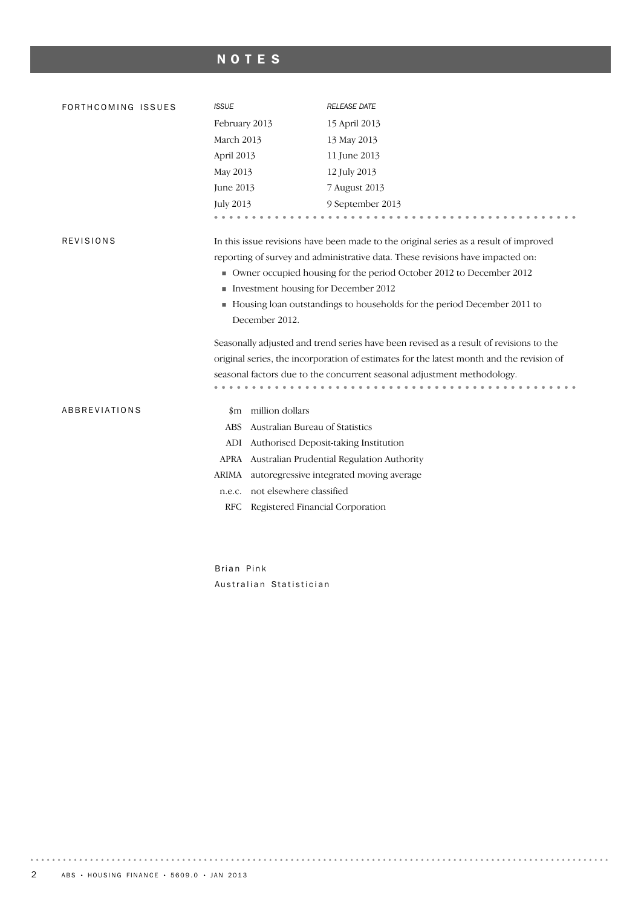# NOTES

| FORTHCOMING ISSUES   | <b>ISSUE</b>                                                                             | <b>RELEASE DATE</b>                                                                   |  |  |  |  |  |  |
|----------------------|------------------------------------------------------------------------------------------|---------------------------------------------------------------------------------------|--|--|--|--|--|--|
|                      | February 2013                                                                            | 15 April 2013                                                                         |  |  |  |  |  |  |
|                      | March 2013                                                                               | 13 May 2013                                                                           |  |  |  |  |  |  |
|                      | April 2013                                                                               | 11 June 2013                                                                          |  |  |  |  |  |  |
|                      | May 2013                                                                                 | 12 July 2013                                                                          |  |  |  |  |  |  |
|                      | <b>June 2013</b>                                                                         | 7 August 2013                                                                         |  |  |  |  |  |  |
|                      | <b>July 2013</b>                                                                         | 9 September 2013                                                                      |  |  |  |  |  |  |
|                      |                                                                                          |                                                                                       |  |  |  |  |  |  |
| <b>REVISIONS</b>     |                                                                                          | In this issue revisions have been made to the original series as a result of improved |  |  |  |  |  |  |
|                      |                                                                                          | reporting of survey and administrative data. These revisions have impacted on:        |  |  |  |  |  |  |
|                      |                                                                                          | Owner occupied housing for the period October 2012 to December 2012                   |  |  |  |  |  |  |
|                      | Investment housing for December 2012                                                     |                                                                                       |  |  |  |  |  |  |
|                      | Housing loan outstandings to households for the period December 2011 to                  |                                                                                       |  |  |  |  |  |  |
|                      | December 2012.                                                                           |                                                                                       |  |  |  |  |  |  |
|                      | Seasonally adjusted and trend series have been revised as a result of revisions to the   |                                                                                       |  |  |  |  |  |  |
|                      | original series, the incorporation of estimates for the latest month and the revision of |                                                                                       |  |  |  |  |  |  |
|                      |                                                                                          | seasonal factors due to the concurrent seasonal adjustment methodology.               |  |  |  |  |  |  |
|                      |                                                                                          |                                                                                       |  |  |  |  |  |  |
| <b>ABBREVIATIONS</b> | \$m million dollars                                                                      |                                                                                       |  |  |  |  |  |  |
|                      | Australian Bureau of Statistics<br>ABS                                                   |                                                                                       |  |  |  |  |  |  |
|                      | ADI Authorised Deposit-taking Institution                                                |                                                                                       |  |  |  |  |  |  |
|                      |                                                                                          | APRA Australian Prudential Regulation Authority                                       |  |  |  |  |  |  |
|                      | ARIMA                                                                                    | autoregressive integrated moving average                                              |  |  |  |  |  |  |
|                      | not elsewhere classified<br>n.e.c.                                                       |                                                                                       |  |  |  |  |  |  |
|                      | Registered Financial Corporation<br>RFC                                                  |                                                                                       |  |  |  |  |  |  |
|                      |                                                                                          |                                                                                       |  |  |  |  |  |  |

Brian Pink Australian Statistician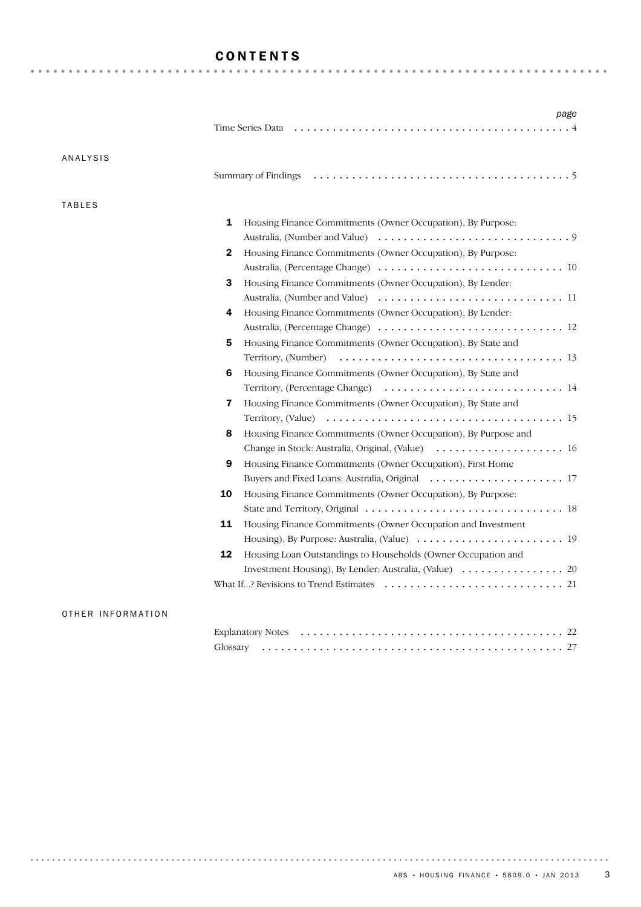# CONTENTS

|               | Time Series Data <i>interpretational content of the Series Data interpretation i.e.</i>                   |
|---------------|-----------------------------------------------------------------------------------------------------------|
| ANALYSIS      |                                                                                                           |
|               |                                                                                                           |
| <b>TABLES</b> |                                                                                                           |
|               | 1<br>Housing Finance Commitments (Owner Occupation), By Purpose:                                          |
|               |                                                                                                           |
|               | Housing Finance Commitments (Owner Occupation), By Purpose:<br>2                                          |
|               |                                                                                                           |
|               | 3<br>Housing Finance Commitments (Owner Occupation), By Lender:                                           |
|               |                                                                                                           |
|               | Housing Finance Commitments (Owner Occupation), By Lender:<br>4                                           |
|               |                                                                                                           |
|               | Housing Finance Commitments (Owner Occupation), By State and<br>5                                         |
|               |                                                                                                           |
|               | Housing Finance Commitments (Owner Occupation), By State and<br>6                                         |
|               |                                                                                                           |
|               | Housing Finance Commitments (Owner Occupation), By State and<br>$\overline{\mathbf{z}}$                   |
|               |                                                                                                           |
|               | Housing Finance Commitments (Owner Occupation), By Purpose and<br>8                                       |
|               |                                                                                                           |
|               | 9<br>Housing Finance Commitments (Owner Occupation), First Home                                           |
|               |                                                                                                           |
|               | 10<br>Housing Finance Commitments (Owner Occupation), By Purpose:                                         |
|               |                                                                                                           |
|               | 11<br>Housing Finance Commitments (Owner Occupation and Investment                                        |
|               |                                                                                                           |
|               | 12<br>Housing Loan Outstandings to Households (Owner Occupation and                                       |
|               |                                                                                                           |
|               | What If? Revisions to Trend Estimates $\dots \dots \dots \dots \dots \dots \dots \dots \dots \dots \dots$ |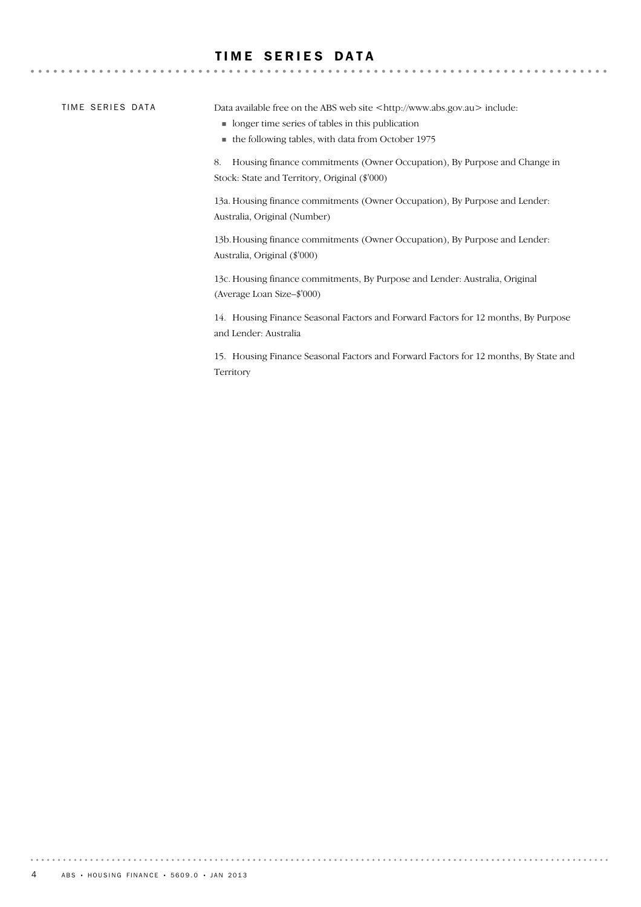## **TIME SERIES DATA**

TIME SERIES DATA

 $-0.000$ 

Data available free on the ABS web site <http://www.abs.gov.au> include:

- ! longer time series of tables in this publication
- ! the following tables, with data from October 1975

8. Housing finance commitments (Owner Occupation), By Purpose and Change in Stock: State and Territory, Original (\$'000)

13a. Housing finance commitments (Owner Occupation), By Purpose and Lender: Australia, Original (Number)

13b.Housing finance commitments (Owner Occupation), By Purpose and Lender: Australia, Original (\$'000)

13c. Housing finance commitments, By Purpose and Lender: Australia, Original (Average Loan Size–\$'000)

14. Housing Finance Seasonal Factors and Forward Factors for 12 months, By Purpose and Lender: Australia

15. Housing Finance Seasonal Factors and Forward Factors for 12 months, By State and Territory

. . . . . . . . .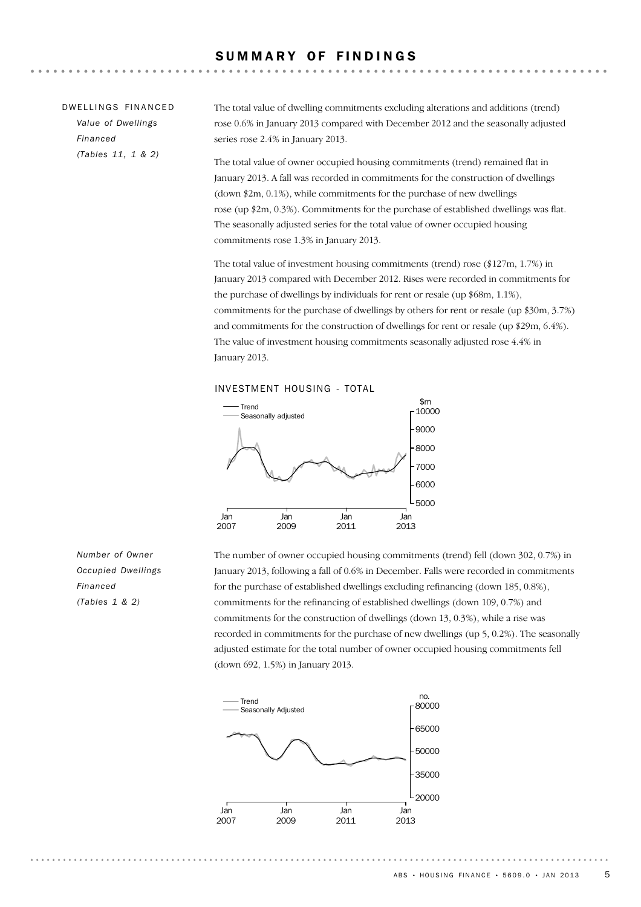| DWELLINGS FINANCED | The total value of dwelling commitments excluding alterations and additions (trend)                                                                                  |
|--------------------|----------------------------------------------------------------------------------------------------------------------------------------------------------------------|
| Value of Dwellings | rose 0.6% in January 2013 compared with December 2012 and the seasonally adjusted                                                                                    |
| Financed           | series rose 2.4% in January 2013.                                                                                                                                    |
| (Tables 11, 1 & 2) | The total value of owner occupied housing commitments (trend) remained flat in<br>January 2013. A fall was recorded in commitments for the construction of dwellings |
|                    | $(d_{\text{QWD}} \text{*2m} \cdot 0.1\%)$ while commitments for the purchase of new dwellings                                                                        |

(down \$2m, 0.1%), while commitments for the purchase of new dwellings rose (up \$2m, 0.3%). Commitments for the purchase of established dwellings was flat. The seasonally adjusted series for the total value of owner occupied housing commitments rose 1.3% in January 2013.

The total value of investment housing commitments (trend) rose (\$127m, 1.7%) in January 2013 compared with December 2012. Rises were recorded in commitments for the purchase of dwellings by individuals for rent or resale (up \$68m, 1.1%), commitments for the purchase of dwellings by others for rent or resale (up \$30m, 3.7%) and commitments for the construction of dwellings for rent or resale (up \$29m, 6.4%). The value of investment housing commitments seasonally adjusted rose 4.4% in January 2013.

#### INVESTMENT HOUSING - TOTAL



*Number of Owner Occupied Dwellings Financed (Tables 1 & 2)*

The number of owner occupied housing commitments (trend) fell (down 302, 0.7%) in January 2013, following a fall of 0.6% in December. Falls were recorded in commitments for the purchase of established dwellings excluding refinancing (down 185, 0.8%), commitments for the refinancing of established dwellings (down 109, 0.7%) and commitments for the construction of dwellings (down 13, 0.3%), while a rise was recorded in commitments for the purchase of new dwellings (up 5, 0.2%). The seasonally adjusted estimate for the total number of owner occupied housing commitments fell (down 692, 1.5%) in January 2013.

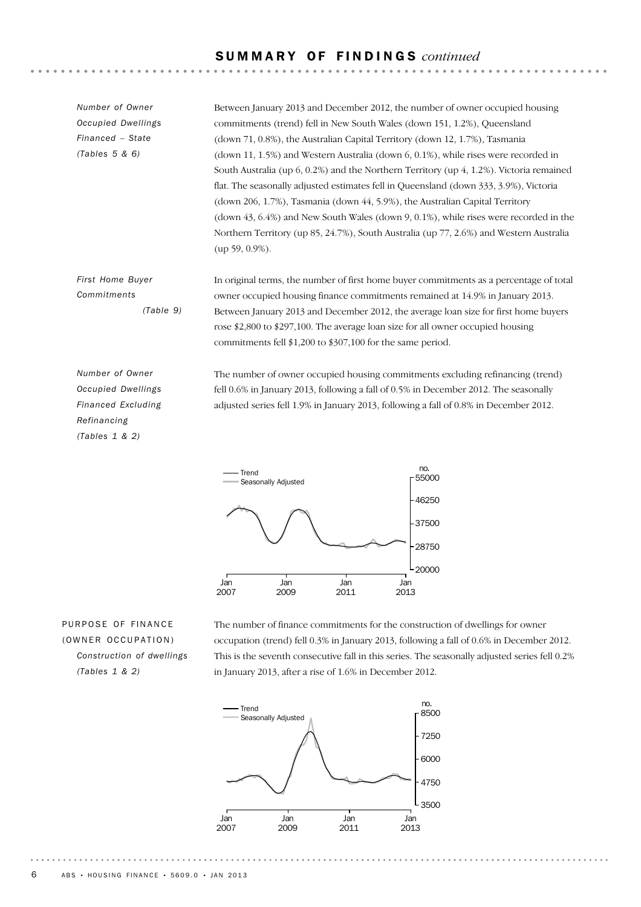### S U M M A R Y O F F I N D I N G S *continued*

Between January 2013 and December 2012, the number of owner occupied housing commitments (trend) fell in New South Wales (down 151, 1.2%), Queensland (down 71, 0.8%), the Australian Capital Territory (down 12, 1.7%), Tasmania (down 11, 1.5%) and Western Australia (down 6, 0.1%), while rises were recorded in South Australia (up 6, 0.2%) and the Northern Territory (up 4, 1.2%). Victoria remained flat. The seasonally adjusted estimates fell in Queensland (down 333, 3.9%), Victoria (down 206, 1.7%), Tasmania (down 44, 5.9%), the Australian Capital Territory (down 43, 6.4%) and New South Wales (down 9, 0.1%), while rises were recorded in the Northern Territory (up 85, 24.7%), South Australia (up 77, 2.6%) and Western Australia (up 59, 0.9%). *Number of Owner Occupied Dwellings Financed – State (Tables 5 & 6)*

In original terms, the number of first home buyer commitments as a percentage of total owner occupied housing finance commitments remained at 14.9% in January 2013. Between January 2013 and December 2012, the average loan size for first home buyers rose \$2,800 to \$297,100. The average loan size for all owner occupied housing commitments fell \$1,200 to \$307,100 for the same period. *First Home Buyer Commitments (Table 9)*

*Number of Owner Occupied Dwellings Financed Excluding Refinancing (Tables 1 & 2)*

The number of owner occupied housing commitments excluding refinancing (trend) fell 0.6% in January 2013, following a fall of 0.5% in December 2012. The seasonally adjusted series fell 1.9% in January 2013, following a fall of 0.8% in December 2012.



## PURPOSE OF FINANCE (OWNER OCCUPATION) *Construction of dwellings (Tables 1 & 2)*

The number of finance commitments for the construction of dwellings for owner occupation (trend) fell 0.3% in January 2013, following a fall of 0.6% in December 2012. This is the seventh consecutive fall in this series. The seasonally adjusted series fell 0.2% in January 2013, after a rise of 1.6% in December 2012.

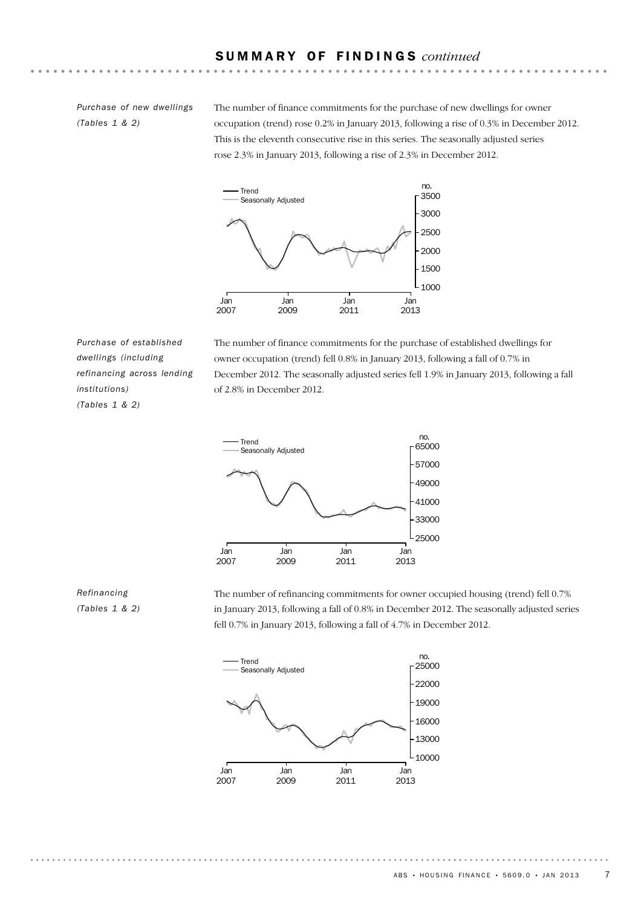#### S U M M A R Y O F F I N D I N G S *continued*

*Purchase of new dwellings (Tables 1 & 2)*

The number of finance commitments for the purchase of new dwellings for owner occupation (trend) rose 0.2% in January 2013, following a rise of 0.3% in December 2012. This is the eleventh consecutive rise in this series. The seasonally adjusted series rose 2.3% in January 2013, following a rise of 2.3% in December 2012.



*Purchase of established dwellings (including refinancing across lending institutions) (Tables 1 & 2)*

The number of finance commitments for the purchase of established dwellings for owner occupation (trend) fell 0.8% in January 2013, following a fall of 0.7% in December 2012. The seasonally adjusted series fell 1.9% in January 2013, following a fall of 2.8% in December 2012.



#### *Refinancing (Tables 1 & 2)*

The number of refinancing commitments for owner occupied housing (trend) fell 0.7% in January 2013, following a fall of 0.8% in December 2012. The seasonally adjusted series fell 0.7% in January 2013, following a fall of 4.7% in December 2012.



ABS • HOUSING FINANCE • 5609.0 • JAN 2013 7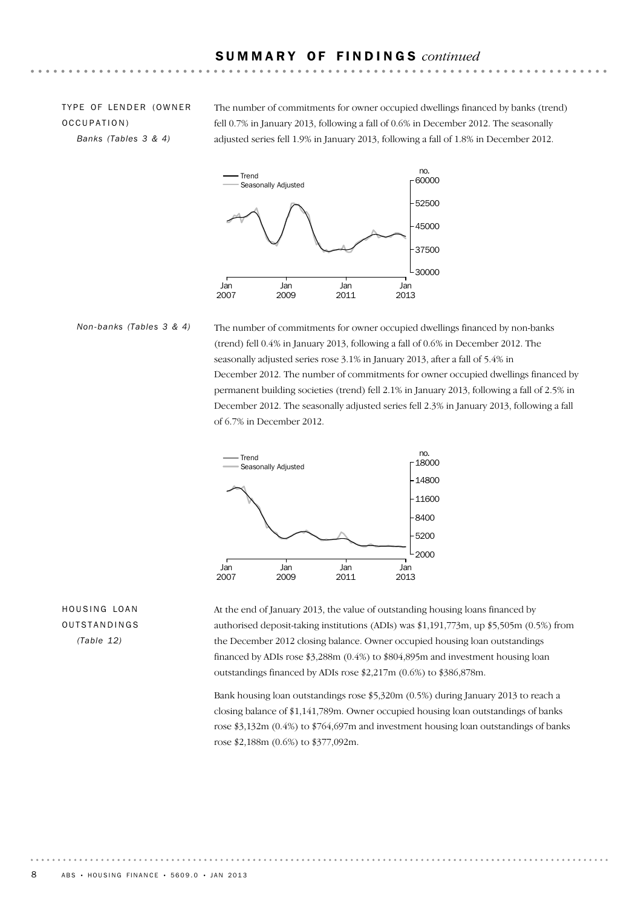TYPE OF LENDER (OWNER OCCUPATION) *Banks (Tables 3 & 4)*

The number of commitments for owner occupied dwellings financed by banks (trend) fell 0.7% in January 2013, following a fall of 0.6% in December 2012. The seasonally adjusted series fell 1.9% in January 2013, following a fall of 1.8% in December 2012.



The number of commitments for owner occupied dwellings financed by non-banks (trend) fell 0.4% in January 2013, following a fall of 0.6% in December 2012. The seasonally adjusted series rose 3.1% in January 2013, after a fall of 5.4% in December 2012. The number of commitments for owner occupied dwellings financed by permanent building societies (trend) fell 2.1% in January 2013, following a fall of 2.5% in December 2012. The seasonally adjusted series fell 2.3% in January 2013, following a fall of 6.7% in December 2012. *Non-banks (Tables 3 & 4)*



# HOUSING LOAN OUTSTANDINGS *(Table 12)*

At the end of January 2013, the value of outstanding housing loans financed by authorised deposit-taking institutions (ADIs) was \$1,191,773m, up \$5,505m (0.5%) from the December 2012 closing balance. Owner occupied housing loan outstandings financed by ADIs rose \$3,288m (0.4%) to \$804,895m and investment housing loan outstandings financed by ADIs rose \$2,217m (0.6%) to \$386,878m.

Bank housing loan outstandings rose \$5,320m (0.5%) during January 2013 to reach a closing balance of \$1,141,789m. Owner occupied housing loan outstandings of banks rose \$3,132m (0.4%) to \$764,697m and investment housing loan outstandings of banks rose \$2,188m (0.6%) to \$377,092m.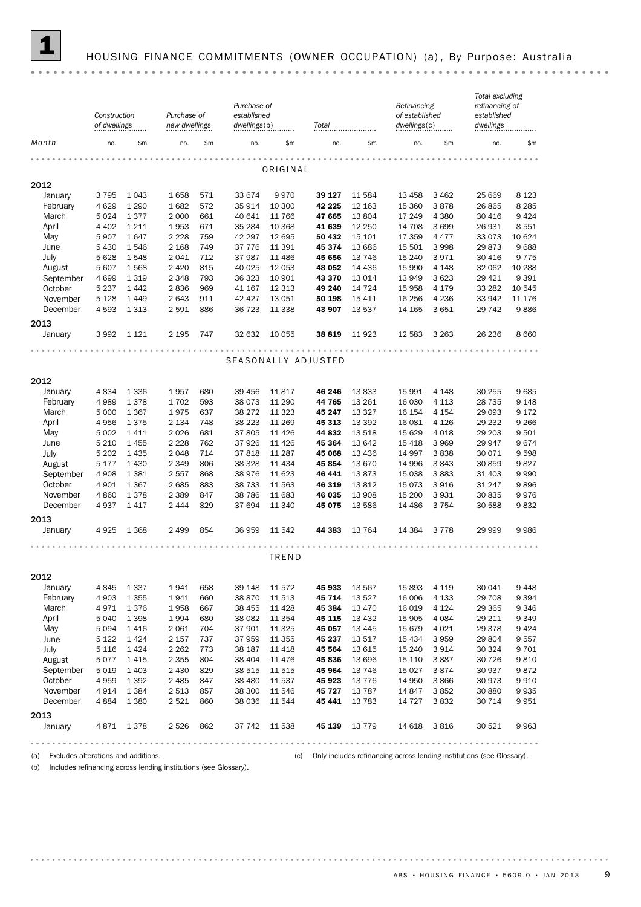

# 1 HOUSING FINANCE COMMITMENTS (OWNER OCCUPATION) (a) , By Purpose: Australia

|                                         | Construction<br>of dwellings |           | Purchase of<br>new dwellings |            | Purchase of<br>established<br>dwellings(b) |               | Total               |                  | Refinancing<br>of established<br>dwellings(c) |                 | Total excluding<br>refinancing of<br>established<br>dwellings         |         |
|-----------------------------------------|------------------------------|-----------|------------------------------|------------|--------------------------------------------|---------------|---------------------|------------------|-----------------------------------------------|-----------------|-----------------------------------------------------------------------|---------|
| Month                                   | no.                          | \$m\$     | no.                          | \$m        | no.                                        | \$m           | no.                 | \$m              | no.                                           | \$m             | no.                                                                   | \$m     |
|                                         |                              |           |                              |            |                                            |               |                     |                  |                                               |                 |                                                                       |         |
|                                         |                              |           |                              |            |                                            | ORIGINAL      |                     |                  |                                               |                 |                                                                       |         |
| 2012                                    |                              | 1043      |                              |            | 33 674                                     | 9970          | 39 127              |                  | 13 4 58                                       |                 | 25 669                                                                | 8 1 2 3 |
| January<br>February                     | 3795<br>4 6 2 9              | 1 2 9 0   | 1658<br>1682                 | 571<br>572 | 35 914                                     | 10 300        | 42 2 2 5            | 11 584<br>12 163 | 15 360                                        | 3 4 6 2<br>3878 | 26 865                                                                | 8 2 8 5 |
| March                                   | 5 0 2 4                      | 1377      | 2 0 0 0                      | 661        | 40 641                                     | 11 766        | 47 665              | 13804            | 17 249                                        | 4 3 8 0         | 30 416                                                                | 9424    |
| April                                   | 4 4 0 2                      | 1 2 1 1   | 1953                         | 671        | 35 284                                     | 10 368        | 41 639              | 12 250           | 14 708                                        | 3699            | 26 931                                                                | 8551    |
| May                                     | 5 9 0 7                      | 1647      | 2 2 2 8                      | 759        | 42 297                                     | 12 695        | 50 432              | 15 101           | 17 359                                        | 4 4 7 7         | 33 0 73                                                               | 10 624  |
| June                                    | 5430                         | 1546      | 2 1 6 8                      | 749        | 37 776                                     | 11 391        | 45 374              | 13 686           | 15 501                                        | 3 9 9 8         | 29873                                                                 | 9688    |
| July                                    | 5 628                        | 1548      | 2041                         | 712        | 37 987                                     | 11 486        | 45 656              | 13 746           | 15 240                                        | 3971            | 30 416                                                                | 9775    |
| August                                  | 5 607                        | 1568      | 2 4 2 0                      | 815        | 40 0 25                                    | 12 053        | 48 052              | 14 4 36          | 15 990                                        | 4 1 4 8         | 32 062                                                                | 10 288  |
| September                               | 4 6 9 9                      | 1 3 1 9   | 2 3 4 8                      | 793        | 36 323                                     | 10 901        | 43 370              | 13 0 14          | 13 949                                        | 3 6 2 3         | 29 4 21                                                               | 9 3 9 1 |
| October                                 | 5 2 3 7                      | 1442      | 2836                         | 969        | 41 167                                     | 12 3 13       | 49 240              | 14 7 24          | 15 9 58                                       | 4 1 7 9         | 33 282                                                                | 10 545  |
| November                                | 5 1 28                       | 1449      | 2 6 4 3                      | 911        | 42 4 27                                    | 13 051        | 50 198              | 15 4 11          | 16 25 6                                       | 4 2 3 6         | 33 942                                                                | 11 176  |
| December                                | 4593                         | 1 3 1 3   | 2 5 9 1                      | 886        | 36 723                                     | 11 338        | 43 907              | 13 537           | 14 165                                        | 3 6 5 1         | 29 742                                                                | 9886    |
|                                         |                              |           |                              |            |                                            |               |                     |                  |                                               |                 |                                                                       |         |
| 2013<br>January                         | 3 9 9 2                      | 1 1 2 1   | 2 1 9 5                      | 747        | 32 632                                     | 10 055        | 38 819              | 11 923           | 12 5 83                                       | 3 2 6 3         | 26 236                                                                | 8 6 6 0 |
|                                         |                              |           |                              |            |                                            |               |                     |                  |                                               |                 |                                                                       |         |
|                                         |                              |           |                              |            |                                            |               | SEASONALLY ADJUSTED |                  |                                               |                 |                                                                       |         |
| 2012                                    |                              |           |                              |            |                                            |               |                     |                  |                                               |                 |                                                                       |         |
| January                                 | 4834                         | 1 3 3 6   | 1957                         | 680        | 39 456                                     | 11 817        | 46 246              | 13833            | 15 991                                        | 4 1 4 8         | 30 255                                                                | 9685    |
| February                                | 4 9 8 9                      | 1378      | 1702                         | 593        | 38 0 73                                    | 11 290        | 44 765              | 13 26 1          | 16 030                                        | 4 1 1 3         | 28 7 35                                                               | 9 1 4 8 |
| March                                   | 5 0 0 0                      | 1 3 6 7   | 1975                         | 637        | 38 27 2                                    | 11 323        | 45 247              | 13 3 27          | 16 154                                        | 4 1 5 4         | 29 093                                                                | 9 1 7 2 |
| April                                   | 4956                         | 1375      | 2 1 3 4                      | 748        | 38 2 23                                    | 11 269        | 45 313              | 13 3 9 2         | 16 081                                        | 4 1 2 6         | 29 232                                                                | 9 2 6 6 |
| May                                     | 5 0 0 2                      | 1411      | 2026                         | 681        | 37805                                      | 11 4 26       | 44 832              | 13518            | 15 6 29                                       | 4 0 18          | 29 203                                                                | 9501    |
| June                                    | 5 2 1 0                      | 1455      | 2 2 2 8                      | 762        | 37926                                      | 11 4 26       | 45 364              | 13 642           | 15 4 18                                       | 3 9 6 9         | 29 947                                                                | 9674    |
| July                                    | 5 202                        | 1 4 3 5   | 2 0 4 8                      | 714        | 37818                                      | 11 287        | 45 068              | 13 4 36          | 14 997                                        | 3838            | 30 0 71                                                               | 9598    |
| August                                  | 5 1 7 7                      | 1 4 3 0   | 2 3 4 9                      | 806        | 38 328                                     | 11 4 34       | 45 854              | 13 670           | 14 996                                        | 3843            | 30 859                                                                | 9827    |
| September                               | 4 9 0 8                      | 1 3 8 1   | 2557                         | 868        | 38 976                                     | 11 623        | 46 441              | 13873            | 15 0 38                                       | 3883            | 31 403                                                                | 9990    |
| October                                 | 4 901                        | 1 3 6 7   | 2685                         | 883        | 38 7 33                                    | 11 563        | 46 319              | 13812            | 15 0 73                                       | 3916            | 31 247                                                                | 9896    |
| November                                | 4860                         | 1378      | 2 3 8 9                      | 847        | 38 786                                     | 11 683        | 46 035              | 13 908           | 15 200                                        | 3 9 3 1         | 30 835                                                                | 9976    |
| December                                | 4937                         | 1417      | 2 4 4 4                      | 829        | 37 694                                     | 11 340        | 45 075              | 13 586           | 14 4 86                                       | 3 7 5 4         | 30 588                                                                | 9832    |
| 2013                                    |                              |           |                              |            |                                            |               |                     |                  |                                               |                 |                                                                       |         |
| January                                 | 4925                         | 1 3 6 8   | 2 4 9 9                      | 854        | 36 959                                     | 11 542        | 44 383              | 13 7 64          | 14 3 84                                       | 3 7 7 8         | 29 999                                                                | 9986    |
|                                         |                              |           |                              |            |                                            |               |                     |                  |                                               |                 |                                                                       |         |
|                                         |                              |           |                              |            |                                            | TREND         |                     |                  |                                               |                 |                                                                       |         |
| 2012                                    |                              |           |                              |            |                                            |               |                     |                  |                                               |                 |                                                                       |         |
| January                                 | 4845                         | 1 3 3 7   | 1941                         | 658        | 39 148                                     | 11 572        | 45 933              | 13 567           | 15893                                         | 4 1 1 9         | 30 041                                                                | 9448    |
| February                                | 4 9 0 3                      | 1 3 5 5   | 1941                         | 660        | 38 870                                     | 11 513        | 45 714              | 13 5 27          | 16 006                                        | 4 1 3 3         | 29 708                                                                | 9 3 9 4 |
| March                                   | 4971                         | 1376      | 1958                         | 667        | 38 455                                     | 11 4 28       | 45 384              | 13 4 70          | 16 0 19                                       | 4 1 2 4         | 29 3 65                                                               | 9346    |
| April                                   | 5 0 4 0                      | 1 3 9 8   | 1994                         | 680        | 38 0 82                                    | 11 3 5 4      | 45 115              | 13 4 32          | 15 905                                        | 4 0 8 4         | 29 211                                                                | 9 3 4 9 |
| May                                     | 5 0 9 4                      | 1416      | 2 0 6 1                      | 704        | 37 901                                     | 11 3 25       | 45 057              | 13 4 45          | 15 679                                        | 4 0 2 1         | 29 3 78                                                               | 9424    |
| June                                    | 5 1 2 2                      | 1424      | 2 1 5 7                      | 737        | 37959                                      | 11 355        | 45 237              | 13 517           | 15 4 34                                       | 3 9 5 9         | 29 804                                                                | 9557    |
| July                                    | 5 1 1 6                      | 1424      | 2 2 6 2                      | 773        | 38 187                                     | 11 418        | 45 564              | 13 615           | 15 240                                        | 3914            | 30 324                                                                | 9701    |
| August                                  | 5077                         | 1415      | 2 3 5 5                      | 804        | 38 404                                     | 11 476        | 45 836              | 13 696           | 15 110                                        | 3887            | 30 7 26                                                               | 9810    |
| September                               | 5 0 1 9                      | 1 4 0 3   | 2 4 3 0                      | 829        | 38 515                                     | 11 515        | 45 964              | 13746            | 15 0 27                                       | 3874            | 30 937                                                                | 9872    |
| October                                 | 4959                         | 1 3 9 2   | 2 4 8 5                      | 847        | 38 480                                     | 11 537        | 45 923              | 13776            | 14 9 50                                       | 3866            | 30 973                                                                | 9910    |
| November                                | 4914                         | 1 3 8 4   | 2 5 1 3                      | 857        | 38 300                                     | 11 546        | 45 727              | 13787            | 14 847                                        | 3852            | 30 880                                                                | 9935    |
| December                                | 4 8 8 4                      | 1 3 8 0   | 2 5 2 1                      | 860        | 38 036                                     | 11 544        | 45 441              | 13783            | 14 727                                        | 3832            | 30 714                                                                | 9951    |
| 2013                                    |                              |           |                              |            |                                            |               |                     |                  |                                               |                 |                                                                       |         |
| January                                 |                              | 4871 1378 | 2 5 2 6                      | 862        |                                            | 37 742 11 538 |                     | 45 139 13 779    | 14 618 3 816                                  |                 | 30 521                                                                | 9963    |
|                                         |                              |           |                              |            |                                            |               |                     |                  |                                               |                 |                                                                       |         |
| (a) Excludes alterations and additions. |                              |           |                              |            |                                            |               | (c)                 |                  |                                               |                 | Only includes refinancing across lending institutions (see Glossary). |         |

(b) Includes refinancing across lending institutions (see Glossary).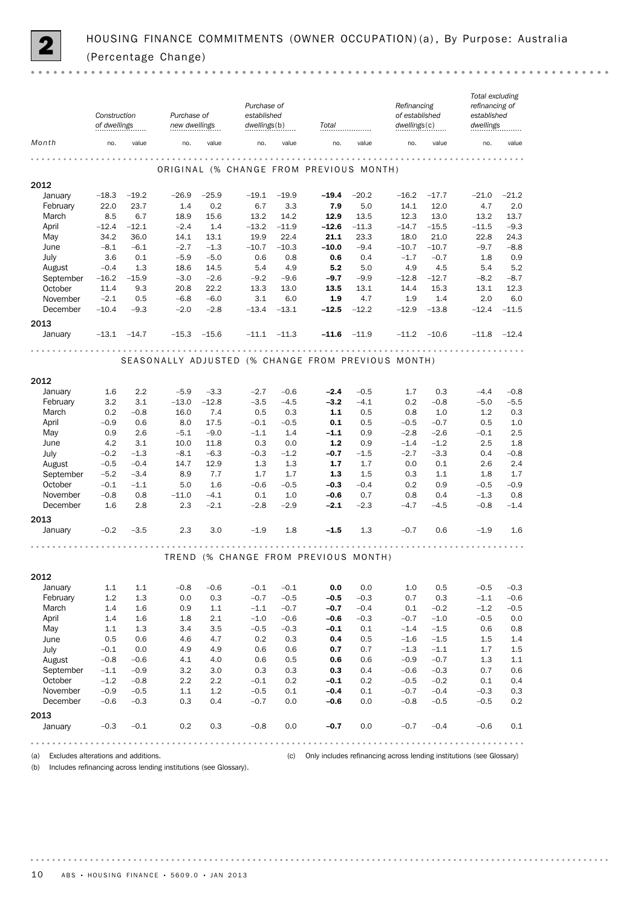

|                 | Construction<br>of dwellings |                | Purchase of<br>new dwellings |                | Purchase of<br>established<br>dwellings(b) |                 | Total                                              |                 | Refinancing<br>of established<br>dwellings(c) |                  | Total excluding<br>refinancing of<br>established<br>dwellings |                |
|-----------------|------------------------------|----------------|------------------------------|----------------|--------------------------------------------|-----------------|----------------------------------------------------|-----------------|-----------------------------------------------|------------------|---------------------------------------------------------------|----------------|
| Month           | no.                          | value          | no.                          | value          | no.                                        | value           | no.                                                | value           | no.                                           | value            | no.                                                           | value          |
|                 |                              |                |                              |                |                                            |                 | ORIGINAL (% CHANGE FROM PREVIOUS MONTH)            |                 | $-  -  -  -  -  -  -$                         |                  |                                                               |                |
| 2012            |                              |                |                              |                |                                            |                 |                                                    |                 |                                               |                  |                                                               |                |
| January         | $-18.3$                      | $-19.2$        | $-26.9$                      | $-25.9$        | $-19.1$                                    | $-19.9$         | $-19.4$                                            | $-20.2$         | $-16.2$                                       | $-17.7$          | $-21.0$                                                       | $-21.2$        |
| February        | 22.0                         | 23.7           | 1.4                          | 0.2            | 6.7                                        | 3.3             | 7.9                                                | 5.0             | 14.1                                          | 12.0             | 4.7                                                           | 2.0            |
| March<br>April  | 8.5<br>$-12.4$               | 6.7<br>$-12.1$ | 18.9<br>$-2.4$               | 15.6<br>1.4    | 13.2<br>$-13.2$                            | 14.2<br>$-11.9$ | 12.9<br>$-12.6$                                    | 13.5<br>$-11.3$ | 12.3<br>$-14.7$                               | 13.0<br>$-15.5$  | 13.2<br>$-11.5$                                               | 13.7<br>$-9.3$ |
| May             | 34.2                         | 36.0           | 14.1                         | 13.1           | 19.9                                       | 22.4            | 21.1                                               | 23.3            | 18.0                                          | 21.0             | 22.8                                                          | 24.3           |
| June            | $-8.1$                       | $-6.1$         | $-2.7$                       | $-1.3$         | $-10.7$                                    | $-10.3$         | $-10.0$                                            | $-9.4$          | $-10.7$                                       | $-10.7$          | $-9.7$                                                        | $-8.8$         |
| July            | 3.6                          | 0.1            | $-5.9$                       | $-5.0$         | 0.6                                        | 0.8             | 0.6                                                | 0.4             | $-1.7$                                        | $-0.7$           | 1.8                                                           | 0.9            |
| August          | $-0.4$                       | 1.3            | 18.6                         | 14.5           | 5.4                                        | 4.9             | 5.2                                                | 5.0             | 4.9                                           | 4.5              | 5.4                                                           | 5.2            |
| September       | $-16.2$                      | $-15.9$        | $-3.0$                       | $-2.6$         | $-9.2$                                     | $-9.6$          | $-9.7$                                             | $-9.9$          | $-12.8$                                       | $-12.7$          | $-8.2$                                                        | $-8.7$         |
| October         | 11.4                         | 9.3            | 20.8                         | 22.2           | 13.3                                       | 13.0            | 13.5                                               | 13.1            | 14.4                                          | 15.3             | 13.1                                                          | 12.3           |
| November        | $-2.1$                       | 0.5            | $-6.8$                       | $-6.0$         | 3.1                                        | 6.0             | 1.9                                                | 4.7             | 1.9                                           | 1.4              | 2.0                                                           | 6.0            |
| December        | $-10.4$                      | $-9.3$         | $-2.0$                       | $-2.8$         | $-13.4$                                    | $-13.1$         | $-12.5$                                            | $-12.2$         | $-12.9$                                       | $-13.8$          | $-12.4$                                                       | $-11.5$        |
| 2013<br>January | $-13.1$                      | $-14.7$        | $-15.3$                      | $-15.6$        | $-11.1$                                    | $-11.3$         | $-11.6$                                            | $-11.9$         | $-11.2$                                       | $-10.6$          | $-11.8$                                                       | $-12.4$        |
|                 |                              |                |                              |                | .                                          |                 | .                                                  |                 |                                               |                  |                                                               |                |
|                 |                              |                |                              |                |                                            |                 | SEASONALLY ADJUSTED (% CHANGE FROM PREVIOUS MONTH) |                 |                                               |                  |                                                               |                |
| 2012            |                              |                |                              |                |                                            |                 |                                                    |                 |                                               |                  |                                                               |                |
| January         | 1.6                          | 2.2            | $-5.9$                       | $-3.3$         | $-2.7$                                     | $-0.6$          | $-2.4$                                             | $-0.5$          | 1.7                                           | 0.3              | $-4.4$                                                        | $-0.8$         |
| February        | 3.2                          | 3.1            | $-13.0$                      | $-12.8$        | $-3.5$                                     | $-4.5$          | $-3.2$                                             | $-4.1$          | 0.2                                           | $-0.8$           | $-5.0$                                                        | $-5.5$         |
| March           | 0.2                          | $-0.8$         | 16.0                         | 7.4            | 0.5                                        | 0.3             | $1.1$                                              | 0.5             | 0.8                                           | 1.0              | 1.2                                                           | 0.3            |
| April           | $-0.9$                       | 0.6            | 8.0                          | 17.5           | $-0.1$                                     | $-0.5$          | 0.1                                                | 0.5             | $-0.5$                                        | $-0.7$           | 0.5                                                           | 1.0            |
| May<br>June     | 0.9<br>4.2                   | 2.6<br>3.1     | $-5.1$<br>10.0               | $-9.0$<br>11.8 | $-1.1$<br>0.3                              | 1.4<br>0.0      | $-1.1$<br>1.2                                      | 0.9<br>0.9      | $-2.8$<br>$-1.4$                              | $-2.6$<br>$-1.2$ | $-0.1$<br>2.5                                                 | 2.5<br>1.8     |
| July            | $-0.2$                       | $-1.3$         | $-8.1$                       | $-6.3$         | $-0.3$                                     | $-1.2$          | $-0.7$                                             | $-1.5$          | $-2.7$                                        | $-3.3$           | 0.4                                                           | $-0.8$         |
| August          | $-0.5$                       | $-0.4$         | 14.7                         | 12.9           | 1.3                                        | 1.3             | 1.7                                                | 1.7             | 0.0                                           | 0.1              | 2.6                                                           | 2.4            |
| September       | $-5.2$                       | $-3.4$         | 8.9                          | 7.7            | 1.7                                        | 1.7             | 1.3                                                | 1.5             | 0.3                                           | 1.1              | 1.8                                                           | 1.7            |
| October         | $-0.1$                       | $-1.1$         | 5.0                          | 1.6            | $-0.6$                                     | $-0.5$          | $-0.3$                                             | $-0.4$          | 0.2                                           | 0.9              | $-0.5$                                                        | $-0.9$         |
| November        | $-0.8$                       | 0.8            | $-11.0$                      | $-4.1$         | 0.1                                        | 1.0             | $-0.6$                                             | 0.7             | 0.8                                           | 0.4              | $-1.3$                                                        | 0.8            |
| December        | 1.6                          | 2.8            | 2.3                          | $-2.1$         | $-2.8$                                     | $-2.9$          | $-2.1$                                             | $-2.3$          | $-4.7$                                        | $-4.5$           | $-0.8$                                                        | $-1.4$         |
| 2013            |                              |                |                              |                |                                            |                 |                                                    |                 |                                               |                  |                                                               |                |
| January         | $-0.2$                       | $-3.5$         | 2.3                          | 3.0            | $-1.9$                                     | 1.8             | $-1.5$                                             | 1.3             | $-0.7$                                        | 0.6              | $-1.9$                                                        | 1.6            |
|                 |                              |                |                              |                |                                            |                 | TREND (% CHANGE FROM PREVIOUS MONTH)               |                 | .                                             |                  |                                                               |                |
| 2012            |                              |                |                              |                |                                            |                 |                                                    |                 |                                               |                  |                                                               |                |
| January         | 1.1                          | 1.1            | $-0.8$                       | $-0.6$         | $-0.1$                                     | $-0.1$          | 0.0                                                | 0.0             | 1.0                                           | 0.5              | $-0.5$                                                        | $-0.3$         |
| February        | 1.2                          | 1.3            | 0.0                          | 0.3            | $-0.7$                                     | $-0.5$          | $-0.5$                                             | $-0.3$          | 0.7                                           | 0.3              | $-1.1$                                                        | $-0.6$         |
| March           | 1.4                          | 1.6            | 0.9                          | $1.1\,$        | $-1.1$                                     | $-0.7$          | $-0.7$                                             | $-0.4$          | 0.1                                           | $-0.2$           | $-1.2$                                                        | $-0.5$         |
| April           | 1.4                          | 1.6            | 1.8                          | 2.1            | $-1.0$                                     | $-0.6$          | $-0.6$                                             | $-0.3$          | $-0.7$                                        | $-1.0$           | $-0.5$                                                        | 0.0            |
| May             | $1.1\,$                      | 1.3            | 3.4                          | 3.5            | $-0.5$                                     | $-0.3$          | $-0.1$                                             | 0.1             | $-1.4$                                        | $-1.5$           | 0.6                                                           | 0.8            |
| June            | 0.5                          | 0.6            | 4.6                          | 4.7            | 0.2                                        | 0.3             | 0.4                                                | 0.5             | $-1.6$                                        | $-1.5$           | 1.5                                                           | $1.4\,$        |
| July            | $-0.1$                       | 0.0            | 4.9                          | 4.9            | 0.6                                        | 0.6             | 0.7                                                | 0.7             | $-1.3$                                        | $-1.1$           | 1.7                                                           | $1.5\,$        |
| August          | $-0.8$                       | $-0.6$         | 4.1                          | 4.0            | 0.6                                        | 0.5             | 0.6                                                | 0.6             | $-0.9$                                        | $-0.7$           | 1.3                                                           | $1.1\,$        |
| September       | $-1.1$                       | $-0.9$         | 3.2                          | 3.0            | 0.3                                        | 0.3             | 0.3                                                | 0.4             | $-0.6$                                        | $-0.3$           | 0.7                                                           | 0.6            |
| October         | $-1.2$                       | $-0.8$         | 2.2                          | 2.2            | $-0.1$                                     | 0.2             | $-0.1$                                             | 0.2             | $-0.5$                                        | $-0.2$           | 0.1                                                           | 0.4            |
| November        | $-0.9$                       | $-0.5$         | 1.1                          | $1.2\,$        | $-0.5$                                     | 0.1             | $-0.4$                                             | 0.1             | $-0.7$                                        | $-0.4$           | $-0.3$                                                        | 0.3            |
| December        | $-0.6$                       | $-0.3$         | 0.3                          | 0.4            | $-0.7$                                     | 0.0             | -0.6                                               | 0.0             | $-0.8$                                        | $-0.5$           | $-0.5$                                                        | 0.2            |
| 2013<br>January | $-0.3$                       | $-0.1$         | 0.2                          | 0.3            | $-0.8$                                     | 0.0             | $-0.7$                                             | 0.0             | $-0.7$                                        | $-0.4$           | $-0.6$                                                        | 0.1            |
|                 |                              |                |                              |                |                                            |                 |                                                    |                 |                                               |                  |                                                               |                |

(a) Excludes alterations and additions. (c) Only includes refinancing across lending institutions (see Glossary)

(b) Includes refinancing across lending institutions (see Glossary).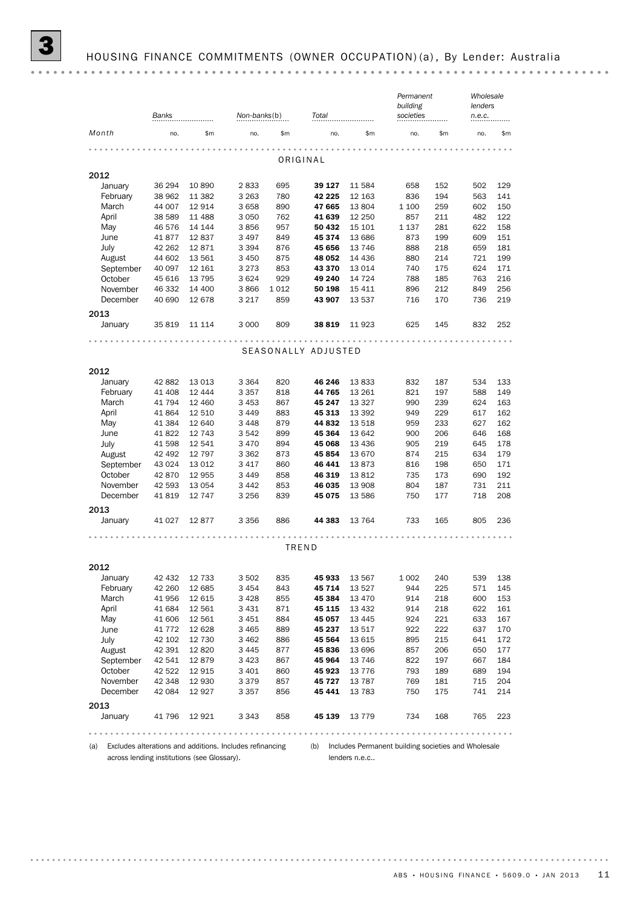|                      | Banks            |                  |                    | Non-banks(b)<br>Total |                     |                   | Permanent<br>building<br>societies |            | Wholesale<br>lenders<br>n.e.c. |            |
|----------------------|------------------|------------------|--------------------|-----------------------|---------------------|-------------------|------------------------------------|------------|--------------------------------|------------|
| Month                | no.              | \$m              | no.                | \$m                   | no.                 | \$m               | no.                                | \$m        | no.                            | \$m\$      |
|                      |                  |                  | 0.0                |                       |                     |                   |                                    |            |                                |            |
|                      |                  |                  |                    |                       | ORIGINAL            |                   |                                    |            |                                |            |
| 2012                 |                  |                  |                    |                       |                     |                   |                                    |            |                                |            |
| January              | 36 294           | 10 890           | 2833               | 695                   | 39 127              | 11 584            | 658                                | 152        | 502                            | 129        |
| February             | 38 962           | 11 382           | 3 2 6 3            | 780                   | 42 225              | 12 163            | 836                                | 194        | 563                            | 141        |
| March                | 44 007           | 12914            | 3658               | 890                   | 47 665              | 13 804            | 1 100                              | 259        | 602                            | 150        |
| April                | 38 589           | 11 488           | 3050               | 762                   | 41 639              | 12 250            | 857                                | 211        | 482                            | 122        |
| May                  | 46 576           | 14 144           | 3856               | 957                   | 50 432              | 15 101            | 1 1 3 7                            | 281        | 622                            | 158        |
| June                 | 41877            | 12837            | 3 4 9 7            | 849                   | 45 374              | 13 686            | 873                                | 199        | 609                            | 151        |
| July                 | 42 262           | 12871            | 3 3 9 4            | 876                   | 45 656              | 13 746            | 888                                | 218        | 659                            | 181        |
| August               | 44 602           | 13 5 61          | 3 4 5 0            | 875                   | 48 052              | 14 4 36           | 880                                | 214        | 721                            | 199        |
| September<br>October | 40 097<br>45 616 | 12 161<br>13 795 | 3 2 7 3<br>3624    | 853<br>929            | 43 370<br>49 240    | 13 014<br>14 724  | 740<br>788                         | 175<br>185 | 624<br>763                     | 171<br>216 |
| November             | 46 332           | 14 400           | 3866               | 1012                  | 50 198              | 15 411            | 896                                | 212        | 849                            | 256        |
| December             | 40 690           | 12 678           | 3 2 1 7            | 859                   | 43 907              | 13 537            | 716                                | 170        | 736                            | 219        |
|                      |                  |                  |                    |                       |                     |                   |                                    |            |                                |            |
| 2013                 |                  |                  |                    |                       |                     |                   |                                    |            |                                |            |
| January              | 35 819           | 11 114           | 3 0 0 0            | 809                   | 38 819              | 11 923            | 625                                | 145        | 832                            | 252        |
|                      |                  |                  |                    |                       |                     |                   |                                    |            |                                |            |
|                      |                  |                  |                    |                       | SEASONALLY ADJUSTED |                   |                                    |            |                                |            |
|                      |                  |                  |                    |                       |                     |                   |                                    |            |                                |            |
| 2012                 |                  |                  |                    |                       |                     |                   |                                    |            |                                |            |
| January              | 42 882           | 13 013           | 3 3 6 4            | 820                   | 46 246              | 13833             | 832                                | 187        | 534                            | 133        |
| February             | 41 408           | 12 4 4 4         | 3 3 5 7            | 818                   | 44 765              | 13 261            | 821                                | 197        | 588                            | 149        |
| March                | 41 794<br>41 864 | 12 460<br>12 510 | 3 4 5 3<br>3 4 4 9 | 867<br>883            | 45 247<br>45 313    | 13 3 27<br>13 392 | 990<br>949                         | 239<br>229 | 624<br>617                     | 163<br>162 |
| April<br>May         | 41 384           | 12 640           | 3448               | 879                   | 44 832              | 13 518            | 959                                | 233        | 627                            | 162        |
| June                 | 41 822           | 12 743           | 3 542              | 899                   | 45 364              | 13 642            | 900                                | 206        | 646                            | 168        |
| July                 | 41 598           | 12 541           | 3470               | 894                   | 45 068              | 13 4 36           | 905                                | 219        | 645                            | 178        |
| August               | 42 492           | 12 797           | 3 3 6 2            | 873                   | 45 854              | 13 670            | 874                                | 215        | 634                            | 179        |
| September            | 43 0 24          | 13 0 12          | 3 4 1 7            | 860                   | 46 441              | 13873             | 816                                | 198        | 650                            | 171        |
| October              | 42 870           | 12 955           | 3 4 4 9            | 858                   | 46 319              | 13812             | 735                                | 173        | 690                            | 192        |
| November             | 42 593           | 13 0 54          | 3 4 4 2            | 853                   | 46 035              | 13 908            | 804                                | 187        | 731                            | 211        |
| December             | 41819            | 12 747           | 3 256              | 839                   | 45 075              | 13 586            | 750                                | 177        | 718                            | 208        |
| 2013                 |                  |                  |                    |                       |                     |                   |                                    |            |                                |            |
| January              | 41 0 27          | 12877            | 3 3 5 6            | 886                   | 44 383              | 13 7 64           | 733                                | 165        | 805                            | 236        |
|                      |                  |                  |                    |                       |                     |                   |                                    |            |                                |            |
|                      |                  |                  |                    |                       |                     |                   |                                    |            |                                |            |
|                      |                  |                  |                    |                       | TREND               |                   |                                    |            |                                |            |
| 2012                 |                  |                  |                    |                       |                     |                   |                                    |            |                                |            |
| January              | 42 432           | 12 7 3 3         | 3 502              | 835                   | 45 933              | 13 567            | 1 0 0 2                            | 240        | 539                            | 138        |
| February             | 42 260           | 12 685           | 3454               | 843                   | 45 714              | 13 5 27           | 944                                | 225        | 571                            | 145        |
| March                | 41 956           | 12 615           | 3428               | 855                   | 45 384              | 13 4 70           | 914                                | 218        | 600                            | 153        |
| April                | 41 684           | 12 561           | 3 4 3 1            | 871                   | 45 115              | 13 4 32           | 914                                | 218        | 622                            | 161        |
| May                  | 41 606           | 12 561           | 3 4 5 1            | 884                   | 45 057              | 13 4 45           | 924                                | 221        | 633                            | 167        |
| June                 | 41 7 7 2         | 12 628           | 3 4 6 5            | 889                   | 45 237              | 13 517            | 922                                | 222        | 637                            | 170        |
| July                 | 42 102           | 12 730           | 3462               | 886                   | 45 564              | 13 615            | 895                                | 215        | 641                            | 172        |
| August               | 42 391           | 12820            | 3 4 4 5            | 877                   | 45836               | 13 696            | 857                                | 206        | 650                            | 177        |
| September            | 42 541           | 12879            | 3423               | 867                   | 45 964              | 13 746            | 822                                | 197        | 667                            | 184        |
| October              | 42 522           | 12915            | 3 4 0 1            | 860                   | 45 923              | 13 7 7 6          | 793                                | 189        | 689                            | 194        |
| November             | 42 348           | 12 930           | 3379               | 857                   | 45 727              | 13 7 8 7          | 769                                | 181        | 715                            | 204        |
| December             | 42 084           | 12927            | 3 3 5 7            | 856                   | 45 441              | 13 7 83           | 750                                | 175        | 741                            | 214        |
| 2013                 |                  |                  |                    |                       |                     |                   |                                    |            |                                |            |
| January              | 41 796           | 12 9 21          | 3 3 4 3            | 858                   | 45 139              | 13 7 7 9          | 734                                | 168        | 765                            | 223        |
|                      |                  |                  |                    |                       |                     |                   |                                    |            |                                |            |
|                      |                  |                  |                    |                       |                     |                   |                                    |            |                                |            |

across lending institutions (see Glossary).

(a) Excludes alterations and additions. Includes refinancing (b) Includes Permanent building societies and Wholesale lenders n.e.c..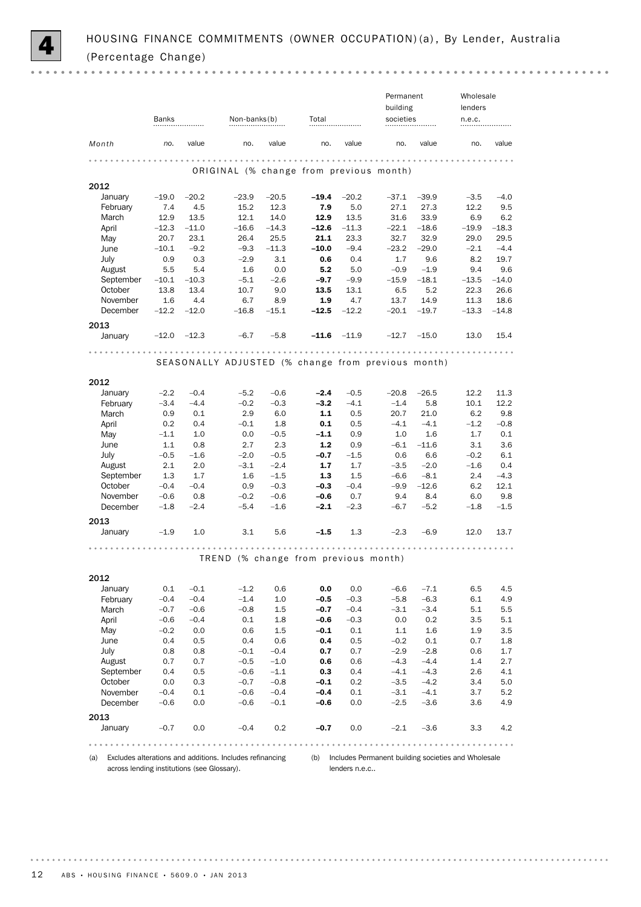

 $0.000$ 

|                                             |                 |                 |                                                          |                 |                 |                 | Permanent       |                 | Wholesale                                           |                 |
|---------------------------------------------|-----------------|-----------------|----------------------------------------------------------|-----------------|-----------------|-----------------|-----------------|-----------------|-----------------------------------------------------|-----------------|
|                                             |                 |                 |                                                          |                 |                 |                 | building        |                 | lenders                                             |                 |
|                                             | Banks           |                 | Non-banks(b)                                             |                 | Total           |                 | societies       |                 | n.e.c.                                              |                 |
| Month                                       | no.             | value           | no.                                                      | value           | no.             | value           | no.             | value           | no.                                                 | value           |
|                                             |                 |                 |                                                          |                 | .               |                 |                 |                 |                                                     |                 |
|                                             |                 |                 | ORIGINAL (% change from previous month)                  |                 |                 |                 |                 |                 |                                                     |                 |
|                                             |                 |                 |                                                          |                 |                 |                 |                 |                 |                                                     |                 |
| 2012                                        |                 |                 |                                                          |                 |                 |                 |                 |                 |                                                     |                 |
| January                                     | $-19.0$         | $-20.2$         | $-23.9$                                                  | $-20.5$         | $-19.4$         | $-20.2$         | $-37.1$         | $-39.9$         | $-3.5$                                              | $-4.0$          |
| February                                    | 7.4             | 4.5             | 15.2                                                     | 12.3            | 7.9             | 5.0             | 27.1            | 27.3            | 12.2                                                | 9.5             |
| March                                       | 12.9            | 13.5            | 12.1                                                     | 14.0            | 12.9            | 13.5            | 31.6            | 33.9<br>$-18.6$ | 6.9                                                 | 6.2             |
| April                                       | $-12.3$<br>20.7 | $-11.0$<br>23.1 | $-16.6$<br>26.4                                          | $-14.3$<br>25.5 | $-12.6$<br>21.1 | $-11.3$<br>23.3 | $-22.1$<br>32.7 | 32.9            | $-19.9$<br>29.0                                     | $-18.3$<br>29.5 |
| May<br>June                                 | $-10.1$         | $-9.2$          | $-9.3$                                                   | $-11.3$         | $-10.0$         | $-9.4$          | $-23.2$         | $-29.0$         | $-2.1$                                              | $-4.4$          |
| July                                        | 0.9             | 0.3             | $-2.9$                                                   | 3.1             | 0.6             | 0.4             | 1.7             | 9.6             | 8.2                                                 | 19.7            |
| August                                      | 5.5             | 5.4             | 1.6                                                      | 0.0             | 5.2             | 5.0             | $-0.9$          | $-1.9$          | 9.4                                                 | 9.6             |
| September                                   | $-10.1$         | $-10.3$         | $-5.1$                                                   | $-2.6$          | $-9.7$          | $-9.9$          | $-15.9$         | $-18.1$         | $-13.5$                                             | $-14.0$         |
| October                                     | 13.8            | 13.4            | 10.7                                                     | 9.0             | 13.5            | 13.1            | 6.5             | 5.2             | 22.3                                                | 26.6            |
| November                                    | 1.6             | 4.4             | 6.7                                                      | 8.9             | 1.9             | 4.7             | 13.7            | 14.9            | 11.3                                                | 18.6            |
| December                                    | $-12.2$         | $-12.0$         | $-16.8$                                                  | $-15.1$         | $-12.5$         | $-12.2$         | $-20.1$         | $-19.7$         | $-13.3$                                             | $-14.8$         |
|                                             |                 |                 |                                                          |                 |                 |                 |                 |                 |                                                     |                 |
| 2013                                        |                 |                 |                                                          |                 |                 |                 |                 |                 |                                                     |                 |
| January                                     | $-12.0$         | $-12.3$         | $-6.7$                                                   | $-5.8$          | $-11.6$         | $-11.9$         | $-12.7$         | $-15.0$         | 13.0                                                | 15.4            |
|                                             |                 |                 | $-0.00000$<br>.                                          |                 | .               |                 | .               |                 |                                                     |                 |
|                                             |                 |                 | SEASONALLY ADJUSTED (% change from previous month)       |                 |                 |                 |                 |                 |                                                     |                 |
|                                             |                 |                 |                                                          |                 |                 |                 |                 |                 |                                                     |                 |
| 2012                                        |                 |                 |                                                          |                 |                 |                 |                 |                 |                                                     |                 |
| January                                     | $-2.2$          | $-0.4$          | $-5.2$                                                   | $-0.6$          | $-2.4$          | $-0.5$          | $-20.8$         | $-26.5$         | 12.2                                                | 11.3            |
| February                                    | $-3.4$          | $-4.4$          | $-0.2$                                                   | $-0.3$          | $-3.2$          | $-4.1$          | $-1.4$          | 5.8             | 10.1                                                | 12.2            |
| March                                       | 0.9             | 0.1             | 2.9                                                      | 6.0             | 1.1             | 0.5             | 20.7            | 21.0            | 6.2                                                 | 9.8             |
| April                                       | 0.2             | 0.4             | $-0.1$                                                   | 1.8             | 0.1             | 0.5             | $-4.1$          | $-4.1$          | $-1.2$                                              | $-0.8$          |
| May                                         | $-1.1$          | 1.0             | 0.0                                                      | $-0.5$          | $-1.1$          | 0.9             | $1.0\,$         | 1.6             | 1.7                                                 | 0.1             |
| June                                        | 1.1             | 0.8             | 2.7                                                      | 2.3             | $1.2$           | 0.9             | $-6.1$          | $-11.6$         | 3.1                                                 | 3.6             |
| <b>July</b>                                 | $-0.5$          | $-1.6$          | $-2.0$                                                   | $-0.5$          | $-0.7$          | $-1.5$          | 0.6             | 6.6             | $-0.2$                                              | 6.1             |
| August                                      | 2.1             | 2.0             | $-3.1$                                                   | $-2.4$          | 1.7             | 1.7             | $-3.5$          | $-2.0$          | $-1.6$                                              | 0.4             |
| September                                   | 1.3             | 1.7             | 1.6                                                      | $-1.5$          | 1.3             | 1.5             | $-6.6$          | $-8.1$          | 2.4                                                 | $-4.3$          |
| October                                     | $-0.4$          | $-0.4$          | 0.9                                                      | $-0.3$          | $-0.3$          | $-0.4$          | $-9.9$          | $-12.6$         | 6.2                                                 | 12.1            |
| November                                    | $-0.6$          | 0.8             | $-0.2$                                                   | $-0.6$          | $-0.6$          | 0.7             | 9.4             | 8.4             | 6.0                                                 | 9.8             |
| December                                    | $-1.8$          | $-2.4$          | $-5.4$                                                   | $-1.6$          | $-2.1$          | $-2.3$          | $-6.7$          | $-5.2$          | $-1.8$                                              | $-1.5$          |
| 2013                                        |                 |                 |                                                          |                 |                 |                 |                 |                 |                                                     |                 |
| January                                     | $-1.9$          | 1.0             | 3.1                                                      | 5.6             | $-1.5$          | 1.3             | $-2.3$          | $-6.9$          | 12.0                                                | 13.7            |
|                                             |                 |                 |                                                          |                 |                 |                 |                 |                 |                                                     |                 |
|                                             |                 |                 |                                                          |                 |                 |                 |                 |                 |                                                     |                 |
|                                             |                 |                 | TREND (% change from previous month)                     |                 |                 |                 |                 |                 |                                                     |                 |
|                                             |                 |                 |                                                          |                 |                 |                 |                 |                 |                                                     |                 |
| 2012                                        |                 | $-0.1$          | $-1.2$                                                   | 0.6             | 0.0             | 0.0             | $-6.6$          | $-7.1$          |                                                     |                 |
| January<br>February                         | 0.1<br>$-0.4$   | $-0.4$          | $-1.4$                                                   | 1.0             | $-0.5$          | $-0.3$          | $-5.8$          | $-6.3$          | 6.5<br>6.1                                          | 4.5<br>4.9      |
| March                                       | $-0.7$          | $-0.6$          | $-0.8$                                                   | 1.5             | $-0.7$          | $-0.4$          | $-3.1$          | $-3.4$          | 5.1                                                 | 5.5             |
| April                                       | $-0.6$          | $-0.4$          | 0.1                                                      | 1.8             | $-0.6$          | $-0.3$          | 0.0             | 0.2             | 3.5                                                 | 5.1             |
| May                                         | $-0.2$          | 0.0             | 0.6                                                      | 1.5             | $-0.1$          | 0.1             | 1.1             | 1.6             | 1.9                                                 | 3.5             |
| June                                        | 0.4             | 0.5             | 0.4                                                      | 0.6             | 0.4             | 0.5             | $-0.2$          | 0.1             | 0.7                                                 | 1.8             |
| <b>July</b>                                 | 0.8             | 0.8             | $-0.1$                                                   | $-0.4$          | 0.7             | 0.7             | $-2.9$          | $-2.8$          | 0.6                                                 | 1.7             |
| August                                      | 0.7             | 0.7             | $-0.5$                                                   | $-1.0$          | 0.6             | 0.6             | $-4.3$          | $-4.4$          | 1.4                                                 | 2.7             |
| September                                   | 0.4             | 0.5             | $-0.6$                                                   | $-1.1$          | 0.3             | 0.4             | $-4.1$          | $-4.3$          | 2.6                                                 | 4.1             |
| October                                     | 0.0             | 0.3             | $-0.7$                                                   | $-0.8$          | $-0.1$          | 0.2             | $-3.5$          | $-4.2$          | 3.4                                                 | 5.0             |
| November                                    | $-0.4$          | 0.1             | $-0.6$                                                   | $-0.4$          | $-0.4$          | 0.1             | $-3.1$          | $-4.1$          | 3.7                                                 | 5.2             |
| December                                    | $-0.6$          | 0.0             | $-0.6$                                                   | $-0.1$          | $-0.6$          | 0.0             | $-2.5$          | $-3.6$          | 3.6                                                 | 4.9             |
|                                             |                 |                 |                                                          |                 |                 |                 |                 |                 |                                                     |                 |
| 2013                                        |                 |                 |                                                          |                 |                 |                 |                 |                 |                                                     |                 |
| January                                     | $-0.7$          | 0.0             | $-0.4$                                                   | 0.2             | $-0.7$          | 0.0             | $-2.1$          | $-3.6$          | 3.3                                                 | 4.2             |
|                                             |                 |                 |                                                          |                 |                 |                 |                 |                 |                                                     |                 |
| (a)                                         |                 |                 | Excludes alterations and additions. Includes refinancing |                 | (b)             |                 |                 |                 | Includes Permanent building societies and Wholesale |                 |
|                                             |                 |                 |                                                          |                 |                 |                 |                 |                 |                                                     |                 |
| across lending institutions (see Glossary). |                 |                 |                                                          |                 |                 | lenders n.e.c   |                 |                 |                                                     |                 |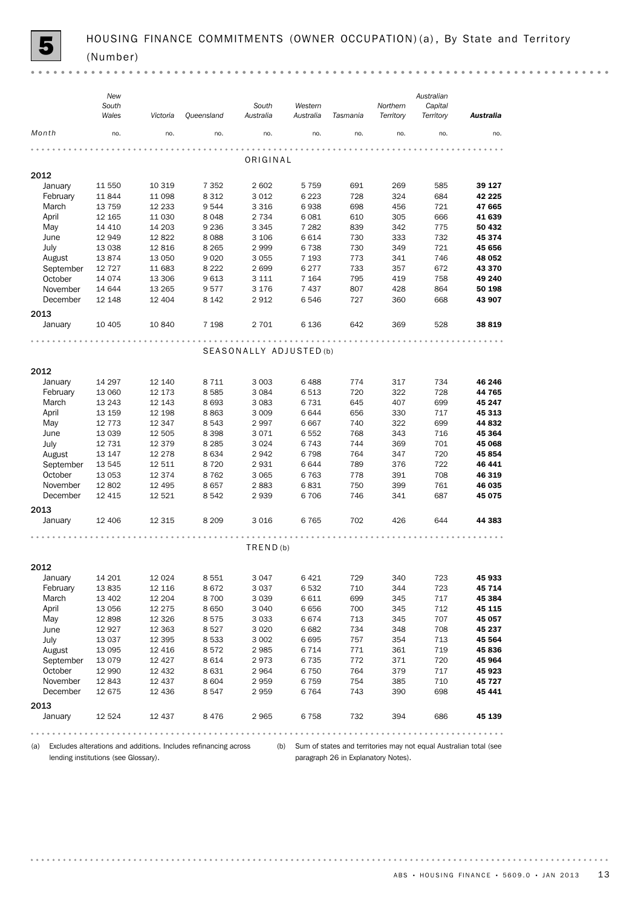(a) Excludes alterations and additions. Includes refinancing across (b) Sum of states and territories may not equal Australian total (see lending institutions (see Glossary).

paragraph 26 in Explanatory Notes).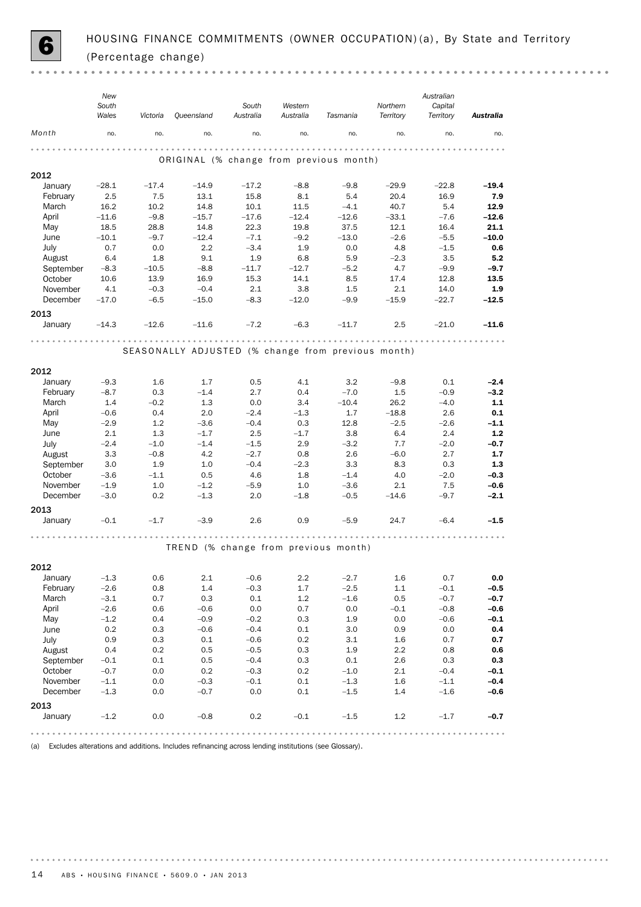

 $\sim$   $\sim$ 

|                 | New<br>South<br>Wales | Victoria | Queensland                                         | South<br>Australia | Western<br>Australia | Tasmania | Northern<br>Territory | Australian<br>Capital<br>Territory | Australia |
|-----------------|-----------------------|----------|----------------------------------------------------|--------------------|----------------------|----------|-----------------------|------------------------------------|-----------|
| Month           | no.                   | no.      | no.                                                | no.                | no.                  | no.      | no.                   | no.                                | no.       |
|                 |                       |          | ORIGINAL (% change from previous month)            |                    |                      |          |                       |                                    |           |
| 2012            |                       |          |                                                    |                    |                      |          |                       |                                    |           |
| January         | $-28.1$               | $-17.4$  | $-14.9$                                            | $-17.2$            | $-8.8$               | $-9.8$   | $-29.9$               | $-22.8$                            | $-19.4$   |
| February        | 2.5                   | 7.5      | 13.1                                               | 15.8               | 8.1                  | 5.4      | 20.4                  | 16.9                               | 7.9       |
| March           | 16.2                  | 10.2     | 14.8                                               | 10.1               | 11.5                 | $-4.1$   | 40.7                  | 5.4                                | 12.9      |
| April           | $-11.6$               | $-9.8$   | $-15.7$                                            | $-17.6$            | $-12.4$              | $-12.6$  | $-33.1$               | $-7.6$                             | $-12.6$   |
| May             | 18.5                  | 28.8     | 14.8                                               | 22.3               | 19.8                 | 37.5     | 12.1                  | 16.4                               | 21.1      |
| June            | $-10.1$               | $-9.7$   | $-12.4$                                            | $-7.1$             | $-9.2$               | $-13.0$  | $-2.6$                | $-5.5$                             | $-10.0$   |
| July            | 0.7                   | 0.0      | 2.2                                                | $-3.4$             | 1.9                  | 0.0      | 4.8                   | $-1.5$                             | 0.6       |
| August          | 6.4                   | 1.8      | 9.1                                                | 1.9                | 6.8                  | 5.9      | $-2.3$                | 3.5                                | 5.2       |
| September       | $-8.3$                | $-10.5$  | $-8.8$                                             | $-11.7$            | $-12.7$              | $-5.2$   | 4.7                   | $-9.9$                             | $-9.7$    |
| October         | 10.6                  | 13.9     | 16.9                                               | 15.3               | 14.1                 | 8.5      | 17.4                  | 12.8                               | 13.5      |
| November        | 4.1                   | $-0.3$   | $-0.4$                                             | 2.1                | 3.8                  | 1.5      | 2.1                   | 14.0                               | 1.9       |
| December        | $-17.0$               | $-6.5$   | $-15.0$                                            | $-8.3$             | $-12.0$              | $-9.9$   | $-15.9$               | $-22.7$                            | $-12.5$   |
| 2013<br>January | $-14.3$               | $-12.6$  | $-11.6$                                            | $-7.2$             | $-6.3$               | $-11.7$  | 2.5                   | $-21.0$                            | $-11.6$   |
|                 |                       |          |                                                    |                    |                      |          |                       |                                    |           |
|                 |                       |          | SEASONALLY ADJUSTED (% change from previous month) |                    |                      |          |                       |                                    |           |
| 2012            |                       |          |                                                    |                    |                      |          |                       |                                    |           |
| January         | $-9.3$                | 1.6      | 1.7                                                | 0.5                | 4.1                  | 3.2      | $-9.8$                | 0.1                                | $-2.4$    |
| February        | $-8.7$                | 0.3      | $-1.4$                                             | 2.7                | 0.4                  | $-7.0$   | $1.5\phantom{0}$      | $-0.9$                             | $-3.2$    |
| March           | 1.4                   | $-0.2$   | 1.3                                                | 0.0                | 3.4                  | $-10.4$  | 26.2                  | $-4.0$                             | 1.1       |
| April           | $-0.6$                | 0.4      | 2.0                                                | $-2.4$             | $-1.3$               | 1.7      | $-18.8$               | 2.6                                | 0.1       |
| May             | $-2.9$                | 1.2      | $-3.6$                                             | $-0.4$             | 0.3                  | 12.8     | $-2.5$                | $-2.6$                             | $-1.1$    |
| June            | 2.1                   | 1.3      | $-1.7$                                             | 2.5                | $-1.7$               | 3.8      | 6.4                   | 2.4                                | 1.2       |
| July            | $-2.4$                | $-1.0$   | $-1.4$                                             | $-1.5$             | 2.9                  | $-3.2$   | 7.7                   | $-2.0$                             | $-0.7$    |
| August          | 3.3                   | $-0.8$   | 4.2                                                | $-2.7$             | 0.8                  | 2.6      | $-6.0$                | 2.7                                | 1.7       |
| September       | 3.0                   | 1.9      | 1.0                                                | $-0.4$             | $-2.3$               | 3.3      | 8.3                   | 0.3                                | 1.3       |
| October         | $-3.6$                | $-1.1$   | 0.5                                                | 4.6                | 1.8                  | $-1.4$   | 4.0                   | $-2.0$                             | $-0.3$    |
| November        | $-1.9$                | 1.0      | $-1.2$                                             | $-5.9$             | 1.0                  | $-3.6$   | 2.1                   | 7.5                                | $-0.6$    |
| December        | $-3.0$                | 0.2      | $-1.3$                                             | 2.0                | $-1.8$               | $-0.5$   | $-14.6$               | $-9.7$                             | $-2.1$    |
| 2013            |                       |          |                                                    |                    |                      |          |                       |                                    |           |
| January         | $-0.1$                | $-1.7$   | $-3.9$                                             | 2.6                | 0.9                  | $-5.9$   | 24.7                  | $-6.4$                             | $-1.5$    |
|                 |                       |          |                                                    |                    |                      |          |                       |                                    |           |
|                 |                       |          | TREND (% change from previous month)               |                    |                      |          |                       |                                    |           |
| 2012            |                       |          |                                                    |                    |                      |          |                       |                                    |           |
| January         | $-1.3$                | 0.6      | 2.1                                                | $-0.6$             | 2.2                  | $-2.7$   | 1.6                   | 0.7                                | 0.0       |
| February        | $-2.6$                | 0.8      | 1.4                                                | $-0.3$             | 1.7                  | $-2.5$   | 1.1                   | $-0.1$                             | $-0.5$    |
| March           | $-3.1$                | 0.7      | 0.3                                                | 0.1                | $1.2\,$              | $-1.6$   | 0.5                   | $-0.7$                             | $-0.7$    |
| April           | $-2.6$                | 0.6      | $-0.6$                                             | 0.0                | 0.7                  | 0.0      | $-0.1$                | $-0.8$                             | $-0.6$    |
| May             | $-1.2$                | 0.4      | $-0.9$                                             | $-0.2$             | 0.3                  | 1.9      | 0.0                   | $-0.6$                             | $-0.1$    |
| June            | 0.2                   | 0.3      | $-0.6$                                             | $-0.4$             | $0.1\,$              | 3.0      | 0.9                   | 0.0                                | $0.4\,$   |
| July            | 0.9                   | 0.3      | 0.1                                                | $-0.6$             | 0.2                  | 3.1      | 1.6                   | 0.7                                | 0.7       |
| August          | 0.4                   | $0.2\,$  | 0.5                                                | $-0.5$             | 0.3                  | 1.9      | $2.2\,$               | 0.8                                | 0.6       |
| September       | $-0.1$                | 0.1      | 0.5                                                | $-0.4$             | 0.3                  | 0.1      | 2.6                   | 0.3                                | $0.3\,$   |
| October         | $-0.7$                | 0.0      | 0.2                                                | $-0.3$             | 0.2                  | $-1.0$   | 2.1                   | $-0.4$                             | $-0.1$    |
| November        | $-1.1$                | 0.0      | $-0.3$                                             | $-0.1$             | $0.1\,$              | $-1.3$   | 1.6                   | $-1.1$                             | $-0.4$    |
| December        | $-1.3$                | 0.0      | $-0.7$                                             | $0.0\,$            | 0.1                  | $-1.5$   | 1.4                   | $-1.6$                             | $-0.6$    |
| 2013            |                       |          |                                                    |                    |                      |          |                       |                                    |           |
| January         | $-1.2$                | $0.0\,$  | $-0.8$                                             | 0.2                | $-0.1$               | $-1.5$   | $1.2\,$               | $-1.7$                             | $-0.7$    |

(a) Excludes alterations and additions. Includes refinancing across lending institutions (see Glossary).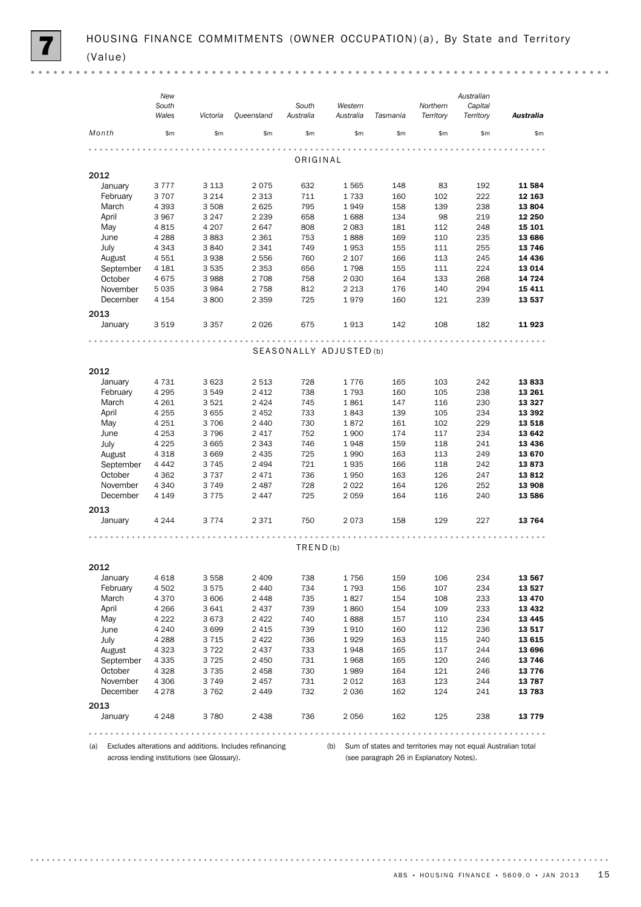|                | New             |                 |                 |                         |              |            |           | Australian |                                                      |
|----------------|-----------------|-----------------|-----------------|-------------------------|--------------|------------|-----------|------------|------------------------------------------------------|
|                | South           |                 |                 | South                   | Western      |            | Northern  | Capital    |                                                      |
|                | Wales           | Victoria        | Queensland      | Australia               | Australia    | Tasmania   | Territory | Territory  | Australia                                            |
| Month          | \$m\$           | \$m\$           | \$m\$           | \$m                     | \$m\$        | \$m        | \$m\$     | \$m        | \$m\$                                                |
|                |                 |                 |                 |                         |              |            |           |            |                                                      |
|                |                 |                 |                 | ORIGINAL                |              |            |           |            |                                                      |
|                |                 |                 |                 |                         |              |            |           |            |                                                      |
| 2012           |                 |                 |                 |                         |              |            |           |            |                                                      |
| January        | 3777            | 3 1 1 3         | 2075            | 632                     | 1565         | 148        | 83        | 192        | 11 584                                               |
| February       | 3707            | 3 2 1 4         | 2 3 1 3         | 711                     | 1733         | 160        | 102       | 222        | 12 163                                               |
| March<br>April | 4 3 9 3<br>3967 | 3508<br>3 2 4 7 | 2625<br>2 2 3 9 | 795<br>658              | 1949<br>1688 | 158<br>134 | 139<br>98 | 238<br>219 | 13804<br>12 250                                      |
| May            | 4815            | 4 2 0 7         | 2647            | 808                     | 2 0 8 3      | 181        | 112       | 248        | 15 101                                               |
| June           | 4 2 8 8         | 3883            | 2 3 6 1         | 753                     | 1888         | 169        | 110       | 235        | 13 686                                               |
| July           | 4 3 4 3         | 3840            | 2 3 4 1         | 749                     | 1953         | 155        | 111       | 255        | 13746                                                |
| August         | 4551            | 3938            | 2 5 5 6         | 760                     | 2 1 0 7      | 166        | 113       | 245        | 14 436                                               |
| September      | 4 1 8 1         | 3535            | 2 3 5 3         | 656                     | 1798         | 155        | 111       | 224        | 13 0 14                                              |
| October        | 4675            | 3988            | 2 7 0 8         | 758                     | 2 0 3 0      | 164        | 133       | 268        | 14 7 24                                              |
| November       | 5 0 3 5         | 3984            | 2 7 5 8         | 812                     | 2 2 1 3      | 176        | 140       | 294        | 15 411                                               |
| December       | 4 1 5 4         | 3800            | 2 3 5 9         | 725                     | 1979         | 160        | 121       | 239        | 13 537                                               |
|                |                 |                 |                 |                         |              |            |           |            |                                                      |
| 2013           |                 |                 |                 |                         |              |            |           |            |                                                      |
| January        | 3519            | 3 3 5 7         | 2026            | 675                     | 1913         | 142        | 108       | 182        | 11923                                                |
|                |                 |                 |                 | .                       |              |            |           |            |                                                      |
|                |                 |                 |                 | SEASONALLY ADJUSTED (b) |              |            |           |            |                                                      |
|                |                 |                 |                 |                         |              |            |           |            |                                                      |
| 2012           |                 |                 |                 |                         |              |            |           |            |                                                      |
| January        | 4 7 3 1         | 3623            | 2 5 1 3         | 728                     | 1776         | 165        | 103       | 242        | 13833                                                |
| February       | 4 2 9 5         | 3549            | 2 4 1 2         | 738                     | 1793         | 160        | 105       | 238        | 13 26 1                                              |
| March          | 4 2 6 1         | 3521            | 2 4 2 4         | 745                     | 1861         | 147        | 116       | 230        | 13 3 27                                              |
| April          | 4 2 5 5         | 3655            | 2 4 5 2         | 733                     | 1843         | 139        | 105       | 234        | 13 392                                               |
| May            | 4 2 5 1         | 3706            | 2 4 4 0         | 730                     | 1872         | 161        | 102       | 229        | 13 5 18                                              |
| June           | 4 2 5 3         | 3796            | 2 4 1 7         | 752                     | 1900         | 174        | 117       | 234        | 13 642                                               |
| July           | 4 2 2 5         | 3665            | 2 3 4 3         | 746                     | 1948         | 159        | 118       | 241        | 13 4 36                                              |
| August         | 4 3 1 8         | 3 6 6 9         | 2 4 3 5         | 725                     | 1990         | 163        | 113       | 249        | 13 670                                               |
| September      | 4 4 4 2         | 3745            | 2 4 9 4         | 721                     | 1935         | 166        | 118       | 242        | 13873                                                |
| October        | 4 3 6 2         | 3 7 3 7         | 2471            | 736                     | 1950         | 163        | 126       | 247        | 13812                                                |
| November       | 4 3 4 0         | 3749            | 2 4 8 7         | 728                     | 2022         | 164        | 126       | 252        | 13 908                                               |
| December       | 4 1 4 9         | 3775            | 2 4 4 7         | 725                     | 2059         | 164        | 116       | 240        | 13 586                                               |
|                |                 |                 |                 |                         |              |            |           |            |                                                      |
| 2013           | 4 2 4 4         | 3774            | 2 3 7 1         | 750                     | 2073         |            | 129       | 227        | 13764                                                |
| January        |                 |                 |                 |                         |              | 158        |           |            |                                                      |
|                |                 |                 |                 |                         |              |            |           |            |                                                      |
|                |                 |                 |                 | TRED(b)                 |              |            |           |            |                                                      |
|                |                 |                 |                 |                         |              |            |           |            |                                                      |
| 2012           |                 |                 |                 |                         |              |            |           |            |                                                      |
| January        | 4618            | 3 5 5 8         | 2 4 0 9         | 738                     | 1756         | 159        | 106       | 234        | 13 567                                               |
| February       | 4 5 0 2         | 3575            | 2 4 4 0         | 734                     | 1793         | 156        | 107       | 234        | 13 527                                               |
| March          | 4 3 7 0         | 3 6 0 6         | 2 4 4 8         | 735                     | 1827         | 154        | 108       | 233        | 13 470                                               |
| April          | 4 2 6 6         | 3641            | 2 4 3 7         | 739                     | 1860         | 154        | 109       | 233        | 13 4 32                                              |
| May            | 4 2 2 2         | 3673            | 2 4 2 2         | 740                     | 1888         | 157        | 110       | 234        | 13 4 45                                              |
| June           | 4 2 4 0         | 3699            | 2 4 1 5         | 739                     | 1910         | 160        | 112       | 236        | 13 517                                               |
| July           | 4 2 8 8         | 3 7 1 5         | 2 4 2 2         | 736                     | 1929         | 163        | 115       | 240        | 13 615                                               |
| August         | 4 3 2 3         | 3722            | 2 4 3 7         | 733                     | 1948         | 165        | 117       | 244        | 13 696                                               |
| September      | 4 3 3 5         | 3725            | 2 4 5 0         | 731                     | 1968         | 165        | 120       | 246        | 13746                                                |
| October        | 4 3 2 8         | 3735            | 2458            | 730                     | 1989         | 164        | 121       | 246        | 13776                                                |
| November       | 4 3 0 6         | 3749            | 2 4 5 7         | 731                     | 2012         | 163        | 123       | 244        | 13787                                                |
| December       | 4 2 7 8         | 3762            | 2 4 4 9         | 732                     | 2036         | 162        | 124       | 241        | 13783                                                |
| 2013           |                 |                 |                 |                         |              |            |           |            |                                                      |
| January        | 4 2 4 8         | 3780            | 2 4 3 8         | 736                     | 2056         | 162        | 125       | 238        | 13779                                                |
|                |                 |                 |                 |                         |              |            |           |            |                                                      |
|                |                 |                 |                 |                         |              |            |           |            | $0\  \  0\  \  0\  \  0\  \  0\  \  0\  \  0\  \  0$ |

(a) Excludes alterations and additions. Includes refinancing across lending institutions (see Glossary).

(b) Sum of states and territories may not equal Australian total (see paragraph 26 in Explanatory Notes).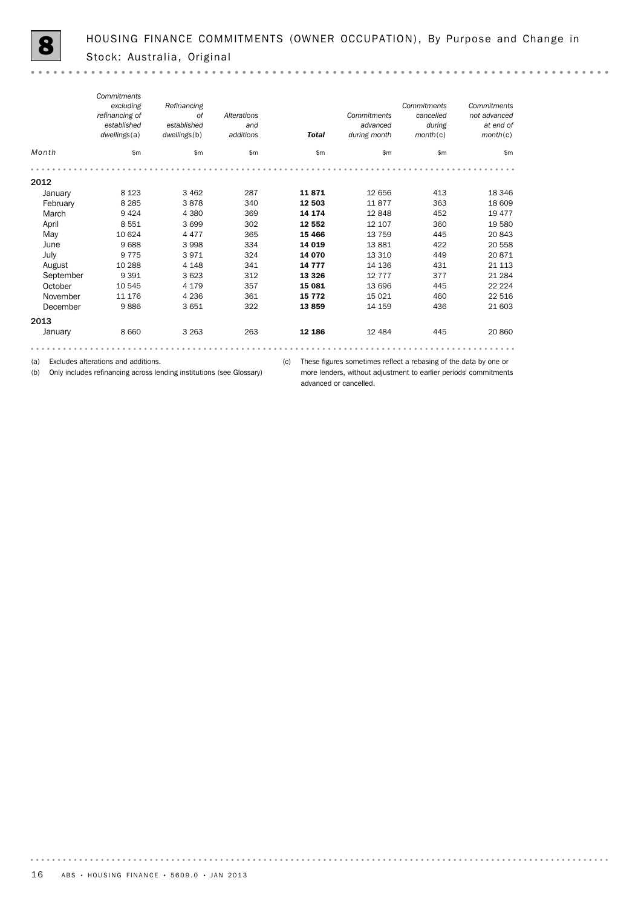|           | Commitments<br>excluding<br>refinancing of<br>established<br>dwellings(a) | Refinancing<br><b>of</b><br>established<br>dwellings(b) | Alterations<br>and<br>additions | <b>Total</b> | Commitments<br>advanced<br>during month | Commitments<br>cancelled<br>during<br>month(c) | Commitments<br>not advanced<br>at end of<br>month(c) |
|-----------|---------------------------------------------------------------------------|---------------------------------------------------------|---------------------------------|--------------|-----------------------------------------|------------------------------------------------|------------------------------------------------------|
| Month     | \$m\$                                                                     | \$m                                                     | \$m                             | \$m\$        | \$m\$                                   | \$m\$                                          | \$m                                                  |
|           |                                                                           |                                                         |                                 |              |                                         |                                                |                                                      |
| 2012      |                                                                           |                                                         |                                 |              |                                         |                                                |                                                      |
| January   | 8 1 2 3                                                                   | 3 4 6 2                                                 | 287                             | 11871        | 12 656                                  | 413                                            | 18 346                                               |
| February  | 8 2 8 5                                                                   | 3878                                                    | 340                             | 12 503       | 11877                                   | 363                                            | 18 609                                               |
| March     | 9424                                                                      | 4 3 8 0                                                 | 369                             | 14 174       | 12848                                   | 452                                            | 19 477                                               |
| April     | 8551                                                                      | 3699                                                    | 302                             | 12 552       | 12 107                                  | 360                                            | 19 580                                               |
| May       | 10 624                                                                    | 4 4 7 7                                                 | 365                             | 15 4 66      | 13 7 5 9                                | 445                                            | 20 843                                               |
| June      | 9688                                                                      | 3 9 9 8                                                 | 334                             | 14 019       | 13881                                   | 422                                            | 20 558                                               |
| July      | 9775                                                                      | 3971                                                    | 324                             | 14 070       | 13 3 10                                 | 449                                            | 20 871                                               |
| August    | 10 288                                                                    | 4 1 4 8                                                 | 341                             | 14 7 7 7     | 14 136                                  | 431                                            | 21 1 13                                              |
| September | 9 3 9 1                                                                   | 3 6 2 3                                                 | 312                             | 13 3 26      | 12 7 7 7                                | 377                                            | 21 284                                               |
| October   | 10 545                                                                    | 4 1 7 9                                                 | 357                             | 15 081       | 13 696                                  | 445                                            | 22 2 2 4                                             |
| November  | 11 176                                                                    | 4 2 3 6                                                 | 361                             | 15 7 7 2     | 15 0 21                                 | 460                                            | 22 516                                               |
| December  | 9886                                                                      | 3 6 5 1                                                 | 322                             | 13859        | 14 159                                  | 436                                            | 21 603                                               |
| 2013      |                                                                           |                                                         |                                 |              |                                         |                                                |                                                      |
| January   | 8 6 6 0                                                                   | 3 2 6 3                                                 | 263                             | 12 186       | 12 4 8 4                                | 445                                            | 20 860                                               |
|           |                                                                           |                                                         |                                 |              |                                         |                                                |                                                      |

(a) Excludes alterations and additions.

(b) Only includes refinancing across lending institutions (see Glossary)

(c) These figures sometimes reflect a rebasing of the data by one or more lenders, without adjustment to earlier periods' commitments advanced or cancelled.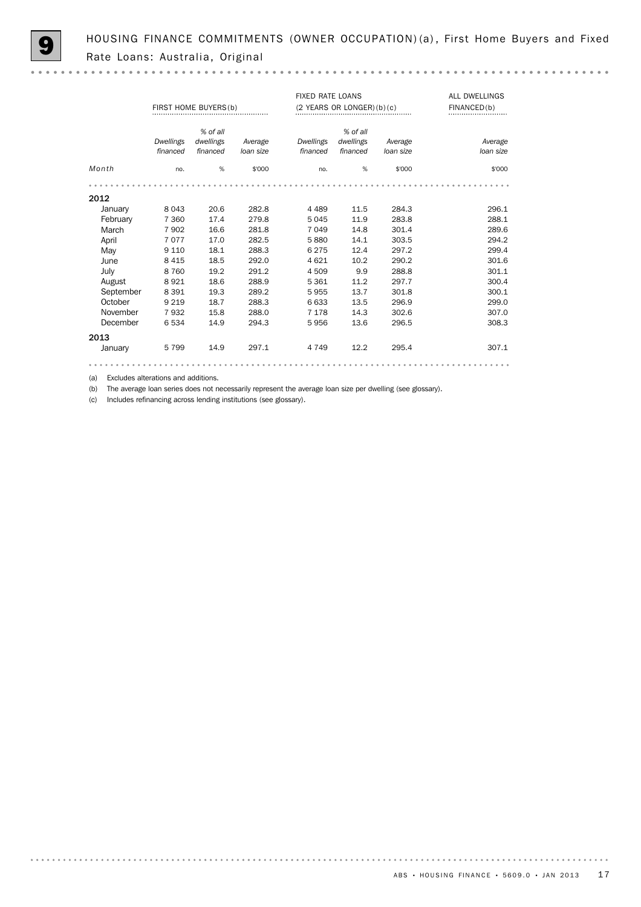HOUSING FINANCE COMMITMENTS (OWNER OCCUPATION) (a), First Home Buyers and Fixed Rate Loans: Australia, Original

|           |                              | FIRST HOME BUYERS(b)              |                      | <b>FIXED RATE LOANS</b> | $(2$ YEARS OR LONGER) $(b)(c)$    |                      | ALL DWELLINGS<br>FINANCED(b) |
|-----------|------------------------------|-----------------------------------|----------------------|-------------------------|-----------------------------------|----------------------|------------------------------|
|           | <b>Dwellings</b><br>financed | % of all<br>dwellings<br>financed | Average<br>loan size | Dwellings<br>financed   | % of all<br>dwellings<br>financed | Average<br>loan size | Average<br>loan size         |
| Month     | no.                          | %                                 | \$'000               | no.                     | %                                 | \$'000               | \$'000                       |
|           |                              |                                   |                      |                         |                                   |                      |                              |
| 2012      |                              |                                   |                      |                         |                                   |                      |                              |
| January   | 8 0 4 3                      | 20.6                              | 282.8                | 4 4 8 9                 | 11.5                              | 284.3                | 296.1                        |
| February  | 7 3 6 0                      | 17.4                              | 279.8                | 5 0 4 5                 | 11.9                              | 283.8                | 288.1                        |
| March     | 7902                         | 16.6                              | 281.8                | 7 0 4 9                 | 14.8                              | 301.4                | 289.6                        |
| April     | 7077                         | 17.0                              | 282.5                | 5880                    | 14.1                              | 303.5                | 294.2                        |
| May       | 9 1 1 0                      | 18.1                              | 288.3                | 6 2 7 5                 | 12.4                              | 297.2                | 299.4                        |
| June      | 8 4 1 5                      | 18.5                              | 292.0                | 4 6 2 1                 | 10.2                              | 290.2                | 301.6                        |
| July      | 8760                         | 19.2                              | 291.2                | 4 5 0 9                 | 9.9                               | 288.8                | 301.1                        |
| August    | 8921                         | 18.6                              | 288.9                | 5 3 6 1                 | 11.2                              | 297.7                | 300.4                        |
| September | 8 3 9 1                      | 19.3                              | 289.2                | 5955                    | 13.7                              | 301.8                | 300.1                        |
| October   | 9 2 1 9                      | 18.7                              | 288.3                | 6 6 3 3                 | 13.5                              | 296.9                | 299.0                        |
| November  | 7932                         | 15.8                              | 288.0                | 7 1 7 8                 | 14.3                              | 302.6                | 307.0                        |
| December  | 6534                         | 14.9                              | 294.3                | 5956                    | 13.6                              | 296.5                | 308.3                        |
| 2013      |                              |                                   |                      |                         |                                   |                      |                              |
| January   | 5799                         | 14.9                              | 297.1                | 4 7 4 9                 | 12.2                              | 295.4                | 307.1                        |
|           |                              |                                   |                      |                         |                                   |                      |                              |

(a) Excludes alterations and additions.

(b) The average loan series does not necessarily represent the average loan size per dwelling (see glossary).

(c) Includes refinancing across lending institutions (see glossary).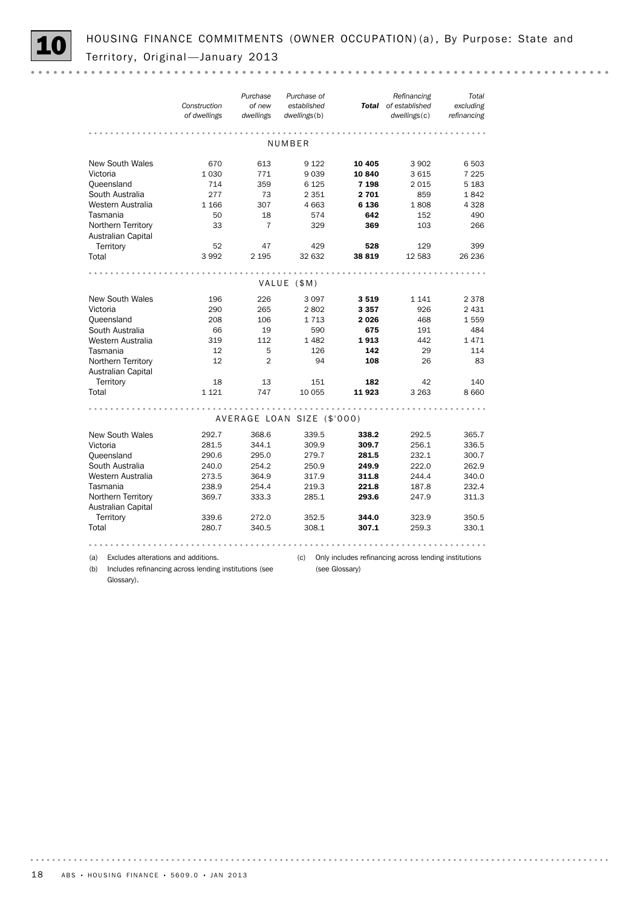HOUSING FINANCE COMMITMENTS (OWNER OCCUPATION) (a), By Purpose: State and Territory, Original - January 2013

|                           | Construction<br>of dwellings | Purchase<br>of new<br>dwellings | Purchase of<br>established<br>dwellings(b) |         | Refinancing<br>Total of established<br>dwellings(c) | Total<br>excluding<br>refinancing |
|---------------------------|------------------------------|---------------------------------|--------------------------------------------|---------|-----------------------------------------------------|-----------------------------------|
|                           |                              |                                 | NUMBER                                     |         |                                                     |                                   |
|                           |                              |                                 |                                            |         |                                                     |                                   |
| <b>New South Wales</b>    | 670                          | 613                             | 9 1 2 2                                    | 10 4 05 | 3902                                                | 6 503                             |
| Victoria                  | 1 0 3 0                      | 771                             | 9039                                       | 10 840  | 3615                                                | 7 2 2 5                           |
| Queensland                | 714                          | 359                             | 6 1 25                                     | 7 1 9 8 | 2015                                                | 5 1 8 3                           |
| South Australia           | 277                          | 73                              | 2 3 5 1                                    | 2701    | 859                                                 | 1842                              |
| Western Australia         | 1 1 6 6                      | 307                             | 4 6 63                                     | 6 1 3 6 | 1808                                                | 4 3 2 8                           |
| Tasmania                  | 50                           | 18                              | 574                                        | 642     | 152                                                 | 490                               |
| Northern Territory        | 33                           | 7                               | 329                                        | 369     | 103                                                 | 266                               |
| <b>Australian Capital</b> |                              |                                 |                                            |         |                                                     |                                   |
| Territory                 | 52                           | 47                              | 429                                        | 528     | 129                                                 | 399                               |
| Total                     | 3992                         | 2 1 9 5                         | 32 632                                     | 38 819  | 12 583                                              | 26 236                            |
|                           |                              |                                 |                                            |         |                                                     |                                   |
|                           |                              |                                 | VALUE (\$M)                                |         |                                                     |                                   |
|                           |                              |                                 |                                            |         |                                                     |                                   |
| <b>New South Wales</b>    | 196                          | 226                             | 3 0 9 7                                    | 3519    | 1 1 4 1                                             | 2 3 7 8                           |
| Victoria                  | 290                          | 265                             | 2802                                       | 3357    | 926                                                 | 2 4 3 1                           |
| Queensland                | 208                          | 106                             | 1 7 1 3                                    | 2026    | 468                                                 | 1559                              |
| South Australia           | 66                           | 19                              | 590                                        | 675     | 191                                                 | 484                               |
| Western Australia         | 319                          | 112                             | 1 4 8 2                                    | 1913    | 442                                                 | 1471                              |
| Tasmania                  | 12                           | 5                               | 126                                        | 142     | 29                                                  | 114                               |
| Northern Territory        | 12                           | $\overline{2}$                  | 94                                         | 108     | 26                                                  | 83                                |
| <b>Australian Capital</b> |                              |                                 |                                            |         |                                                     |                                   |
| Territory                 | 18                           | 13                              | 151                                        | 182     | 42                                                  | 140                               |
| Total                     | 1 1 2 1                      | 747                             | 10 055                                     | 11923   | 3 2 6 3                                             | 8 6 6 0                           |
|                           |                              |                                 |                                            |         |                                                     |                                   |
|                           |                              |                                 | AVERAGE LOAN SIZE (\$'000)                 |         |                                                     |                                   |
| New South Wales           | 292.7                        | 368.6                           | 339.5                                      | 338.2   | 292.5                                               | 365.7                             |
| Victoria                  | 281.5                        | 344.1                           | 309.9                                      | 309.7   | 256.1                                               | 336.5                             |
| Queensland                | 290.6                        | 295.0                           | 279.7                                      | 281.5   | 232.1                                               | 300.7                             |
| South Australia           | 240.0                        | 254.2                           | 250.9                                      | 249.9   | 222.0                                               | 262.9                             |
| Western Australia         | 273.5                        | 364.9                           | 317.9                                      | 311.8   | 244.4                                               | 340.0                             |
| Tasmania                  | 238.9                        | 254.4                           | 219.3                                      | 221.8   | 187.8                                               | 232.4                             |
| Northern Territory        | 369.7                        | 333.3                           | 285.1                                      | 293.6   | 247.9                                               | 311.3                             |
| Australian Capital        |                              |                                 |                                            |         |                                                     |                                   |
| Territory                 | 339.6                        | 272.0                           | 352.5                                      | 344.0   | 323.9                                               | 350.5                             |
| Total                     | 280.7                        | 340.5                           | 308.1                                      | 307.1   | 259.3                                               | 330.1                             |
|                           |                              |                                 |                                            |         |                                                     |                                   |
|                           |                              |                                 |                                            |         |                                                     |                                   |
|                           |                              |                                 |                                            |         |                                                     |                                   |

(a) Excludes alterations and additions.

(see Glossary)

(b) Includes refinancing across lending institutions (see Glossary).

(c) Only includes refinancing across lending institutions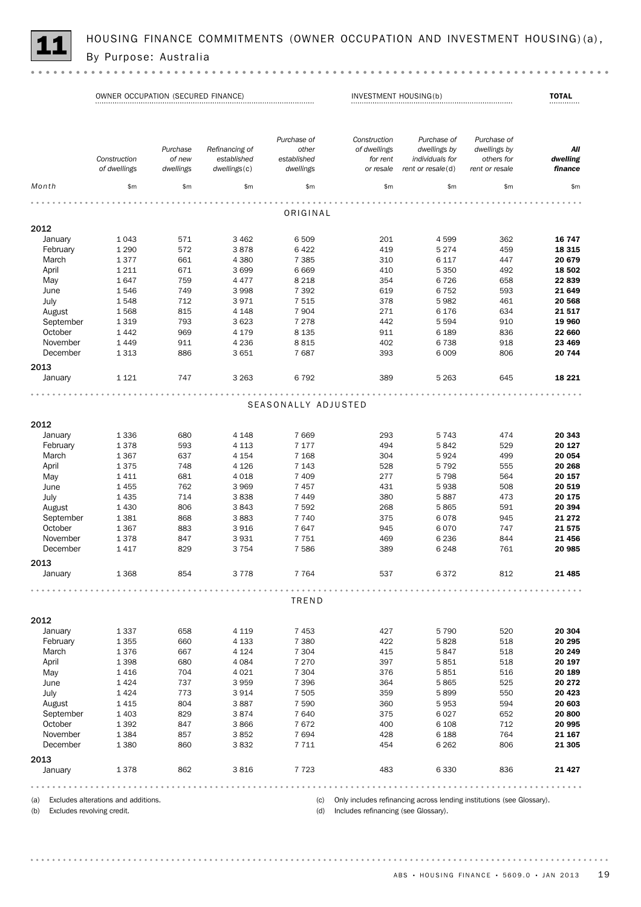

HOUSING FINANCE COMMITMENTS (OWNER OCCUPATION AND INVESTMENT HOUSING)(a),<br>By Purpose: Australia

(a) Excludes alterations and additions.

(b) Excludes revolving credit.

(c) Only includes refinancing across lending institutions (see Glossary).

(d) Includes refinancing (see Glossary).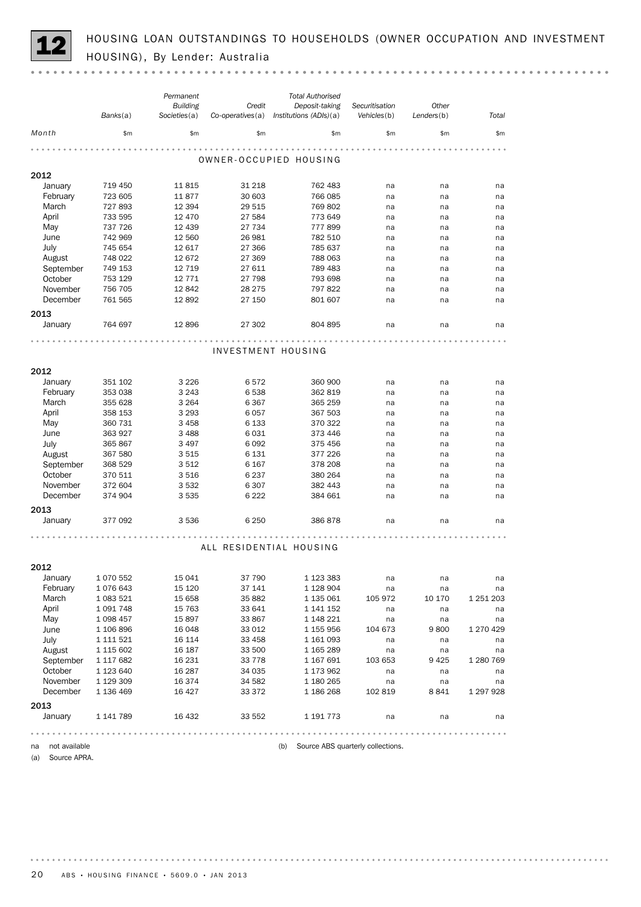HOUSING LOAN OUTSTANDINGS TO HOUSEHOLDS (OWNER OCCUPATION AND INVESTMENT HOUSING), By Lender: Australia

|                     | Banks(a)  | Permanent<br><b>Building</b><br>Societies(a) | Credit             | <b>Total Authorised</b><br>Deposit-taking<br>Co-operatives(a) Institutions (ADIs)(a) | Securitisation<br>Vehicles(b)     | Other<br>Lenders(b) | Total     |
|---------------------|-----------|----------------------------------------------|--------------------|--------------------------------------------------------------------------------------|-----------------------------------|---------------------|-----------|
| Month               | \$m       | \$m\$                                        | \$m\$              | $\mathsf{Sm}$                                                                        | \$m                               | \$m\$               | \$m\$     |
|                     |           |                                              |                    | OWNER-OCCUPIED HOUSING                                                               |                                   |                     |           |
| 2012                |           |                                              |                    |                                                                                      |                                   |                     |           |
| January             | 719 450   | 11815                                        | 31 218             | 762 483                                                                              | na                                | na                  | na        |
| February            | 723 605   | 11877                                        | 30 603             | 766 085                                                                              | na                                | na                  | na        |
| March               | 727 893   | 12 3 94                                      | 29 515             | 769 802                                                                              | na                                | na                  | na        |
| April               | 733 595   | 12 470                                       | 27 584             | 773 649                                                                              | na                                | na                  | na        |
| May                 | 737 726   | 12 439                                       | 27 734             | 777899                                                                               | na                                | na                  | na        |
| June                | 742 969   | 12 560                                       | 26 981             | 782 510                                                                              | na                                | na                  | na        |
| July                | 745 654   | 12 617                                       | 27 366             | 785 637                                                                              | na                                | na                  | na        |
| August              | 748 022   | 12 672                                       | 27 369             | 788 063                                                                              | na                                | na                  | na        |
| September           | 749 153   | 12 7 19                                      | 27 611             | 789 483                                                                              | na                                | na                  | na        |
| October             | 753 129   | 12 7 7 1                                     | 27 798             | 793 698                                                                              | na                                | na                  | na        |
| November            | 756 705   | 12842                                        | 28 275             | 797 822                                                                              | na                                | na                  | na        |
| December            | 761 565   | 12892                                        | 27 150             | 801 607                                                                              | na                                | na                  | na        |
| 2013                |           |                                              |                    |                                                                                      |                                   |                     |           |
| January             | 764 697   | 12896                                        | 27 302             | 804 895                                                                              | na                                | na                  | na        |
|                     |           |                                              | .                  |                                                                                      |                                   |                     |           |
|                     |           |                                              | INVESTMENT HOUSING |                                                                                      |                                   |                     |           |
| 2012                |           |                                              |                    |                                                                                      |                                   |                     |           |
| January             | 351 102   | 3 2 2 6                                      | 6572               | 360 900                                                                              | na                                | na                  | na        |
| February            | 353 038   | 3 2 4 3                                      | 6538               | 362 819                                                                              | na                                | na                  | na        |
| March               | 355 628   | 3 2 6 4                                      | 6 3 6 7            | 365 259                                                                              | na                                | na                  | na        |
| April               | 358 153   | 3 2 9 3                                      | 6057               | 367 503                                                                              | na                                | na                  | na        |
| May                 | 360 731   | 3 4 5 8                                      | 6 1 3 3            | 370 322                                                                              | na                                | na                  | na        |
| June                | 363 927   | 3 4 8 8                                      | 6031               | 373 446                                                                              | na                                | na                  | na        |
| July                | 365 867   | 3 4 9 7                                      | 6 0 9 2            | 375 456                                                                              | na                                | na                  | na        |
| August              | 367 580   | 3515                                         | 6 1 3 1            | 377 226                                                                              | na                                | na                  | na        |
| September           | 368 529   | 3512                                         | 6 1 6 7            | 378 208                                                                              | na                                | na                  | na        |
| October             | 370 511   | 3516                                         | 6 2 3 7            | 380 264                                                                              | na                                | na                  | na        |
| November            | 372 604   | 3532                                         | 6 3 0 7            | 382 443                                                                              | na                                | na                  | na        |
| December            | 374 904   | 3 5 3 5                                      | 6 2 2 2            | 384 661                                                                              | na                                | na                  | na        |
|                     |           |                                              |                    |                                                                                      |                                   |                     |           |
| 2013                |           |                                              |                    |                                                                                      |                                   |                     |           |
| January             | 377 092   | 3536                                         | 6 2 5 0            | 386 878                                                                              | na                                | na                  | na        |
|                     |           |                                              |                    |                                                                                      |                                   |                     |           |
|                     |           |                                              |                    | ALL RESIDENTIAL HOUSING                                                              |                                   |                     |           |
| 2012                |           |                                              |                    |                                                                                      |                                   |                     |           |
| January             | 1 070 552 | 15 0 41                                      | 37 790             | 1 1 2 3 3 8 3                                                                        | na                                | na                  | na        |
| February            | 1 076 643 | 15 120                                       | 37 141             | 1 1 28 9 04                                                                          | na                                | na                  | na        |
| March               | 1 083 521 | 15 658                                       | 35 882             | 1 135 061                                                                            | 105 972                           | 10 170              | 1 251 203 |
| April               | 1 091 748 | 15 763                                       | 33 641             | 1 141 152                                                                            | na                                | na                  | na        |
| May                 | 1 098 457 | 15 897                                       | 33 867             | 1 148 221                                                                            | na                                | na                  | na        |
| June                | 1 106 896 | 16 048                                       | 33 012             | 1 155 956                                                                            | 104 673                           | 9800                | 1 270 429 |
| July                | 1 111 521 | 16 114                                       | 33 458             | 1 161 093                                                                            | na                                | na                  | na        |
| August              | 1 115 602 | 16 187                                       | 33 500             | 1 165 289                                                                            | na                                | na                  | na        |
| September           | 1 117 682 | 16 231                                       | 33 7 7 8           | 1 167 691                                                                            | 103 653                           | 9425                | 1 280 769 |
| October             | 1 123 640 | 16 287                                       | 34 035             | 1 173 962                                                                            | na                                | na                  | na        |
| November            | 1 129 309 | 16 3 74                                      | 34 582             | 1 180 265                                                                            | na                                | na                  | na        |
| December            | 1 136 469 | 16 4 27                                      | 33 372             | 1 186 268                                                                            | 102 819                           | 8841                | 1 297 928 |
| 2013                |           |                                              |                    |                                                                                      |                                   |                     |           |
| January             | 1 141 789 | 16 432                                       | 33 552             | 1 191 773                                                                            | na                                | na                  | na        |
|                     |           |                                              |                    |                                                                                      |                                   |                     |           |
| not available<br>na |           |                                              |                    | (b)                                                                                  | Source ABS quarterly collections. |                     |           |
|                     |           |                                              |                    |                                                                                      |                                   |                     |           |

(a) Source APRA.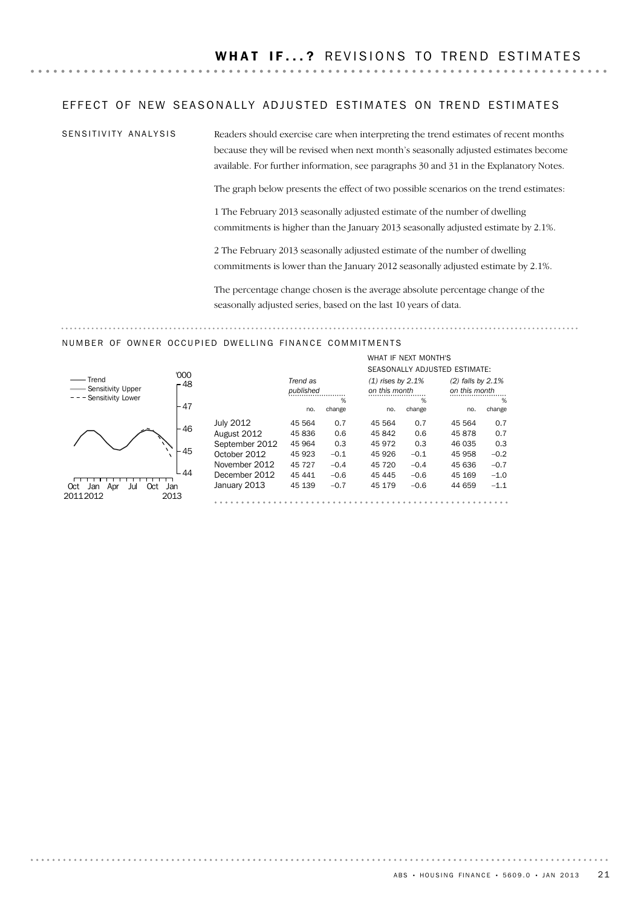#### EFFECT OF NEW SEASONALLY ADJUSTED ESTIMATES ON TREND ESTIMATES

SENSITIVITY ANALYSIS

Readers should exercise care when interpreting the trend estimates of recent months because they will be revised when next month's seasonally adjusted estimates become available. For further information, see paragraphs 30 and 31 in the Explanatory Notes.

The graph below presents the effect of two possible scenarios on the trend estimates:

1 The February 2013 seasonally adjusted estimate of the number of dwelling commitments is higher than the January 2013 seasonally adjusted estimate by 2.1%.

2 The February 2013 seasonally adjusted estimate of the number of dwelling commitments is lower than the January 2012 seasonally adjusted estimate by 2.1%.

The percentage change chosen is the average absolute percentage change of the seasonally adjusted series, based on the last 10 years of data.

#### NUMBER OF OWNER OCCUPIED DWELLING FINANCE COMMITMENTS



|                  |           |        |                     | WHAT IF NEXT MONTH'S |                               |        |
|------------------|-----------|--------|---------------------|----------------------|-------------------------------|--------|
|                  |           |        |                     |                      | SEASONALLY ADJUSTED ESTIMATE: |        |
|                  | Trend as  |        | $(1)$ rises by 2.1% |                      | $(2)$ falls by 2.1%           |        |
|                  | published |        | on this month       |                      | on this month                 |        |
|                  |           | %      |                     | %                    |                               | %      |
|                  | no.       | change | no.                 | change               | no.                           | change |
| <b>July 2012</b> | 45 564    | 0.7    | 45 564              | 0.7                  | 45 564                        | 0.7    |
| August 2012      | 45836     | 0.6    | 45 842              | 0.6                  | 45878                         | 0.7    |
| September 2012   | 45 964    | 0.3    | 45 972              | 0.3                  | 46 035                        | 0.3    |
| October 2012     | 45 923    | $-0.1$ | 45 926              | $-0.1$               | 45 958                        | $-0.2$ |
| November 2012    | 45 727    | $-0.4$ | 45 720              | $-0.4$               | 45 636                        | $-0.7$ |
| December 2012    | 45 441    | $-0.6$ | 45 445              | $-0.6$               | 45 169                        | $-1.0$ |
| January 2013     | 45 139    | $-0.7$ | 45 179              | $-0.6$               | 44 659                        | $-1.1$ |
|                  |           |        |                     |                      |                               |        |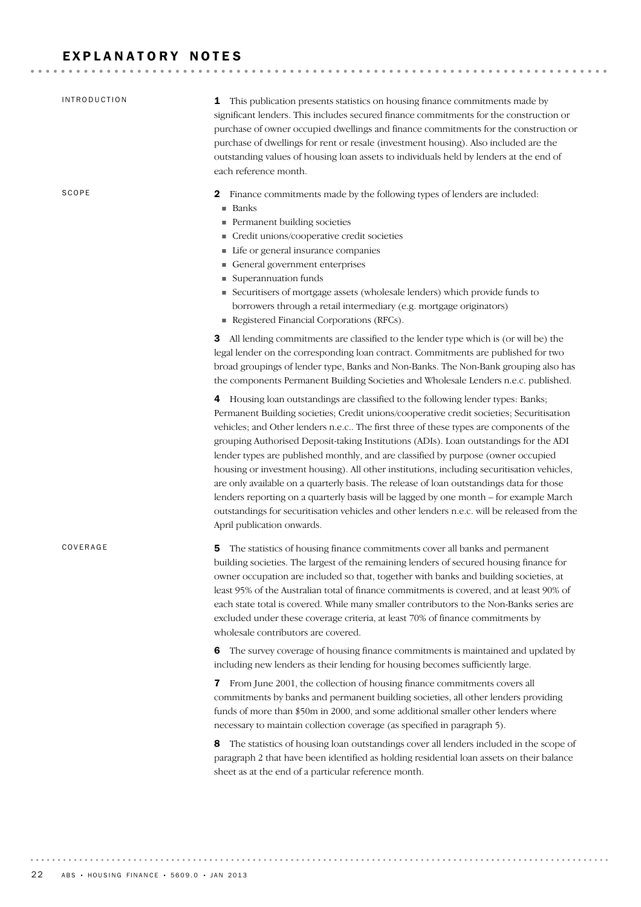# EXPLANATORY NOTES

| <b>INTRODUCTION</b> | 1 This publication presents statistics on housing finance commitments made by<br>significant lenders. This includes secured finance commitments for the construction or<br>purchase of owner occupied dwellings and finance commitments for the construction or<br>purchase of dwellings for rent or resale (investment housing). Also included are the<br>outstanding values of housing loan assets to individuals held by lenders at the end of<br>each reference month.                                                                                                                                                                                                                                                                                                                                                                                                                                                                                                                                                                                                                                                                                                                                                         |
|---------------------|------------------------------------------------------------------------------------------------------------------------------------------------------------------------------------------------------------------------------------------------------------------------------------------------------------------------------------------------------------------------------------------------------------------------------------------------------------------------------------------------------------------------------------------------------------------------------------------------------------------------------------------------------------------------------------------------------------------------------------------------------------------------------------------------------------------------------------------------------------------------------------------------------------------------------------------------------------------------------------------------------------------------------------------------------------------------------------------------------------------------------------------------------------------------------------------------------------------------------------|
| SCOPE               | Finance commitments made by the following types of lenders are included:<br>2<br>■ Banks<br>Permanent building societies<br>Credit unions/cooperative credit societies<br>Life or general insurance companies<br>General government enterprises<br>Superannuation funds<br>Securitisers of mortgage assets (wholesale lenders) which provide funds to<br>borrowers through a retail intermediary (e.g. mortgage originators)<br>Registered Financial Corporations (RFCs).                                                                                                                                                                                                                                                                                                                                                                                                                                                                                                                                                                                                                                                                                                                                                          |
|                     | 3 All lending commitments are classified to the lender type which is (or will be) the<br>legal lender on the corresponding loan contract. Commitments are published for two<br>broad groupings of lender type, Banks and Non-Banks. The Non-Bank grouping also has<br>the components Permanent Building Societies and Wholesale Lenders n.e.c. published.<br>4 Housing loan outstandings are classified to the following lender types: Banks;<br>Permanent Building societies; Credit unions/cooperative credit societies; Securitisation<br>vehicles; and Other lenders n.e.c The first three of these types are components of the<br>grouping Authorised Deposit-taking Institutions (ADIs). Loan outstandings for the ADI<br>lender types are published monthly, and are classified by purpose (owner occupied<br>housing or investment housing). All other institutions, including securitisation vehicles,<br>are only available on a quarterly basis. The release of loan outstandings data for those<br>lenders reporting on a quarterly basis will be lagged by one month - for example March<br>outstandings for securitisation vehicles and other lenders n.e.c. will be released from the<br>April publication onwards. |
| COVERAGE            | The statistics of housing finance commitments cover all banks and permanent<br>5<br>building societies. The largest of the remaining lenders of secured housing finance for<br>owner occupation are included so that, together with banks and building societies, at<br>least 95% of the Australian total of finance commitments is covered, and at least 90% of<br>each state total is covered. While many smaller contributors to the Non-Banks series are<br>excluded under these coverage criteria, at least 70% of finance commitments by<br>wholesale contributors are covered.                                                                                                                                                                                                                                                                                                                                                                                                                                                                                                                                                                                                                                              |
|                     | The survey coverage of housing finance commitments is maintained and updated by<br>6<br>including new lenders as their lending for housing becomes sufficiently large.<br>From June 2001, the collection of housing finance commitments covers all<br>7<br>commitments by banks and permanent building societies, all other lenders providing<br>funds of more than \$50m in 2000, and some additional smaller other lenders where<br>necessary to maintain collection coverage (as specified in paragraph 5).                                                                                                                                                                                                                                                                                                                                                                                                                                                                                                                                                                                                                                                                                                                     |
|                     | The statistics of housing loan outstandings cover all lenders included in the scope of<br>8<br>paragraph 2 that have been identified as holding residential loan assets on their balance<br>sheet as at the end of a particular reference month.                                                                                                                                                                                                                                                                                                                                                                                                                                                                                                                                                                                                                                                                                                                                                                                                                                                                                                                                                                                   |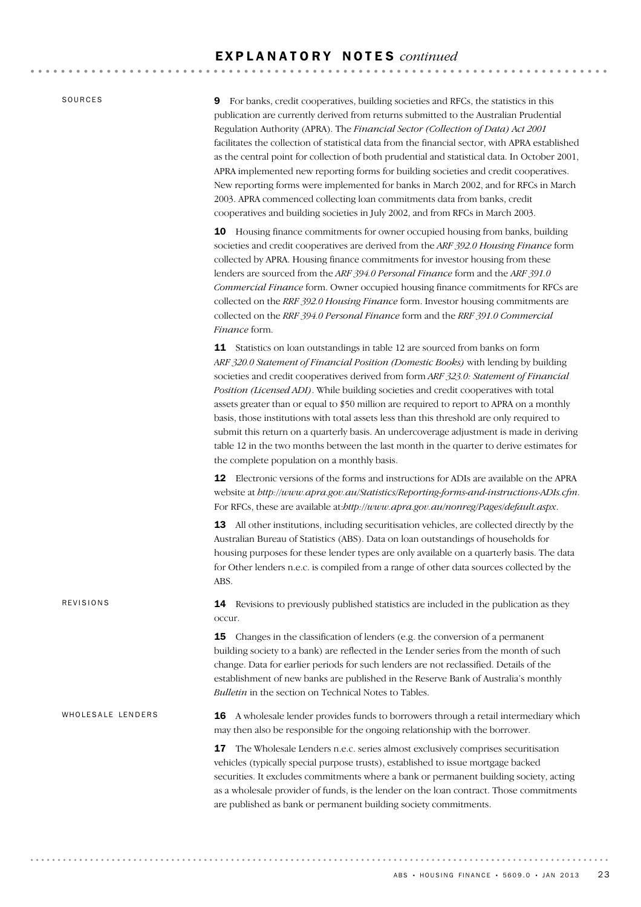SOURCES

REVISIONS

9 For banks, credit cooperatives, building societies and RFCs, the statistics in this publication are currently derived from returns submitted to the Australian Prudential Regulation Authority (APRA). The *Financial Sector (Collection of Data) Act 2001* facilitates the collection of statistical data from the financial sector, with APRA established as the central point for collection of both prudential and statistical data. In October 2001, APRA implemented new reporting forms for building societies and credit cooperatives. New reporting forms were implemented for banks in March 2002, and for RFCs in March 2003. APRA commenced collecting loan commitments data from banks, credit cooperatives and building societies in July 2002, and from RFCs in March 2003.

10 Housing finance commitments for owner occupied housing from banks, building societies and credit cooperatives are derived from the *ARF 392.0 Housing Finance* form collected by APRA. Housing finance commitments for investor housing from these lenders are sourced from the *ARF 394.0 Personal Finance* form and the *ARF 391.0 Commercial Finance* form. Owner occupied housing finance commitments for RFCs are collected on the *RRF 392.0 Housing Finance* form. Investor housing commitments are collected on the *RRF 394.0 Personal Finance* form and the *RRF 391.0 Commercial Finance* form.

11 Statistics on loan outstandings in table 12 are sourced from banks on form *ARF 320.0 Statement of Financial Position (Domestic Books)* with lending by building societies and credit cooperatives derived from form *ARF 323.0: Statement of Financial Position (Licensed ADI)*. While building societies and credit cooperatives with total assets greater than or equal to \$50 million are required to report to APRA on a monthly basis, those institutions with total assets less than this threshold are only required to submit this return on a quarterly basis. An undercoverage adjustment is made in deriving table 12 in the two months between the last month in the quarter to derive estimates for the complete population on a monthly basis.

12 Electronic versions of the forms and instructions for ADIs are available on the APRA website at *http://www.apra.gov.au/Statistics/Reporting-forms-and-instructions-ADIs.cfm*. For RFCs, these are available at:*http://www.apra.gov.au/nonreg/Pages/default.aspx*.

13 All other institutions, including securitisation vehicles, are collected directly by the Australian Bureau of Statistics (ABS). Data on loan outstandings of households for housing purposes for these lender types are only available on a quarterly basis. The data for Other lenders n.e.c. is compiled from a range of other data sources collected by the ABS.

**14** Revisions to previously published statistics are included in the publication as they occur.

**15** Changes in the classification of lenders (e.g. the conversion of a permanent building society to a bank) are reflected in the Lender series from the month of such change. Data for earlier periods for such lenders are not reclassified. Details of the establishment of new banks are published in the Reserve Bank of Australia's monthly *Bulletin* in the section on Technical Notes to Tables.

**16** A wholesale lender provides funds to borrowers through a retail intermediary which may then also be responsible for the ongoing relationship with the borrower. WHOLESALE LENDERS

> 17 The Wholesale Lenders n.e.c. series almost exclusively comprises securitisation vehicles (typically special purpose trusts), established to issue mortgage backed securities. It excludes commitments where a bank or permanent building society, acting as a wholesale provider of funds, is the lender on the loan contract. Those commitments are published as bank or permanent building society commitments.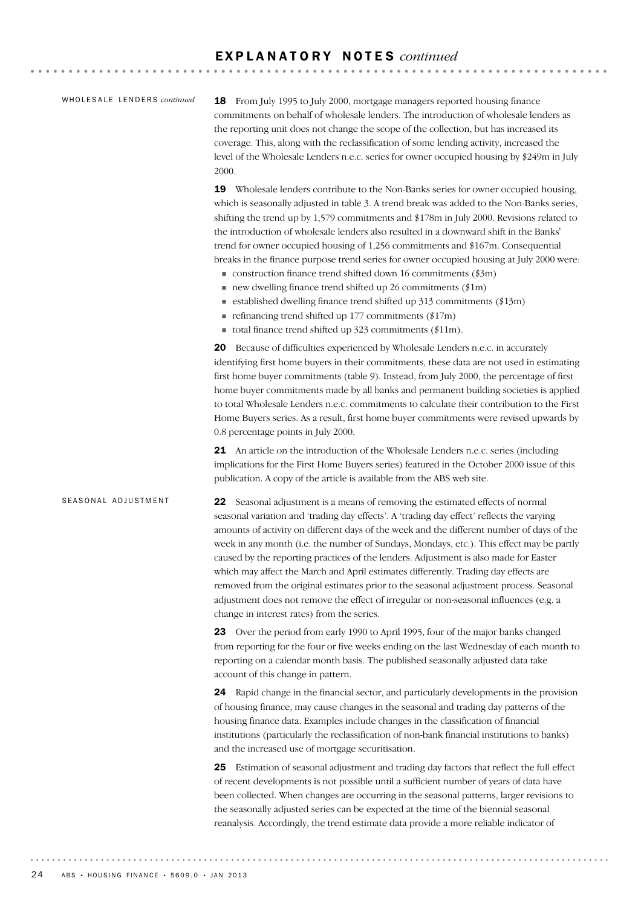| WHOLESALE LENDERS continued |  |  |
|-----------------------------|--|--|
|-----------------------------|--|--|

18 From July 1995 to July 2000, mortgage managers reported housing finance commitments on behalf of wholesale lenders. The introduction of wholesale lenders as the reporting unit does not change the scope of the collection, but has increased its coverage. This, along with the reclassification of some lending activity, increased the level of the Wholesale Lenders n.e.c. series for owner occupied housing by \$249m in July 2000.

19 Wholesale lenders contribute to the Non-Banks series for owner occupied housing, which is seasonally adjusted in table 3. A trend break was added to the Non-Banks series, shifting the trend up by 1,579 commitments and \$178m in July 2000. Revisions related to the introduction of wholesale lenders also resulted in a downward shift in the Banks' trend for owner occupied housing of 1,256 commitments and \$167m. Consequential breaks in the finance purpose trend series for owner occupied housing at July 2000 were:

- ! construction finance trend shifted down 16 commitments (\$3m)
- $\blacksquare$  new dwelling finance trend shifted up 26 commitments (\$1m)
- $\blacksquare$  established dwelling finance trend shifted up 313 commitments (\$13m)
- $\blacksquare$  refinancing trend shifted up 177 commitments (\$17m)
- total finance trend shifted up  $323$  commitments (\$11m).

20 Because of difficulties experienced by Wholesale Lenders n.e.c. in accurately identifying first home buyers in their commitments, these data are not used in estimating first home buyer commitments (table 9). Instead, from July 2000, the percentage of first home buyer commitments made by all banks and permanent building societies is applied to total Wholesale Lenders n.e.c. commitments to calculate their contribution to the First Home Buyers series. As a result, first home buyer commitments were revised upwards by 0.8 percentage points in July 2000.

21 An article on the introduction of the Wholesale Lenders n.e.c. series (including implications for the First Home Buyers series) featured in the October 2000 issue of this publication. A copy of the article is available from the ABS web site.

22 Seasonal adjustment is a means of removing the estimated effects of normal seasonal variation and 'trading day effects'. A 'trading day effect' reflects the varying amounts of activity on different days of the week and the different number of days of the week in any month (i.e. the number of Sundays, Mondays, etc.). This effect may be partly caused by the reporting practices of the lenders. Adjustment is also made for Easter which may affect the March and April estimates differently. Trading day effects are removed from the original estimates prior to the seasonal adjustment process. Seasonal adjustment does not remove the effect of irregular or non-seasonal influences (e.g. a change in interest rates) from the series. SEASONAL ADJUSTMENT

> 23 Over the period from early 1990 to April 1995, four of the major banks changed from reporting for the four or five weeks ending on the last Wednesday of each month to reporting on a calendar month basis. The published seasonally adjusted data take account of this change in pattern.

> 24 Rapid change in the financial sector, and particularly developments in the provision of housing finance, may cause changes in the seasonal and trading day patterns of the housing finance data. Examples include changes in the classification of financial institutions (particularly the reclassification of non-bank financial institutions to banks) and the increased use of mortgage securitisation.

> 25 Estimation of seasonal adjustment and trading day factors that reflect the full effect of recent developments is not possible until a sufficient number of years of data have been collected. When changes are occurring in the seasonal patterns, larger revisions to the seasonally adjusted series can be expected at the time of the biennial seasonal reanalysis. Accordingly, the trend estimate data provide a more reliable indicator of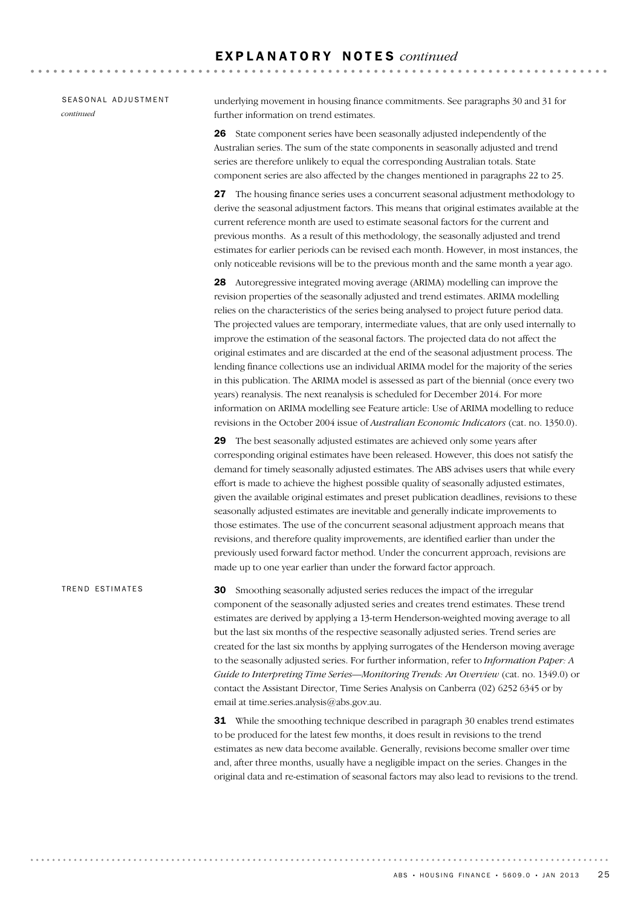#### SEASONAL ADJUSTMENT *continued*

underlying movement in housing finance commitments. See paragraphs 30 and 31 for further information on trend estimates.

26 State component series have been seasonally adjusted independently of the Australian series. The sum of the state components in seasonally adjusted and trend series are therefore unlikely to equal the corresponding Australian totals. State component series are also affected by the changes mentioned in paragraphs 22 to 25.

27 The housing finance series uses a concurrent seasonal adjustment methodology to derive the seasonal adjustment factors. This means that original estimates available at the current reference month are used to estimate seasonal factors for the current and previous months. As a result of this methodology, the seasonally adjusted and trend estimates for earlier periods can be revised each month. However, in most instances, the only noticeable revisions will be to the previous month and the same month a year ago.

28 Autoregressive integrated moving average (ARIMA) modelling can improve the revision properties of the seasonally adjusted and trend estimates. ARIMA modelling relies on the characteristics of the series being analysed to project future period data. The projected values are temporary, intermediate values, that are only used internally to improve the estimation of the seasonal factors. The projected data do not affect the original estimates and are discarded at the end of the seasonal adjustment process. The lending finance collections use an individual ARIMA model for the majority of the series in this publication. The ARIMA model is assessed as part of the biennial (once every two years) reanalysis. The next reanalysis is scheduled for December 2014. For more information on ARIMA modelling see Feature article: Use of ARIMA modelling to reduce revisions in the October 2004 issue of *Australian Economic Indicators* (cat. no. 1350.0).

29 The best seasonally adjusted estimates are achieved only some years after corresponding original estimates have been released. However, this does not satisfy the demand for timely seasonally adjusted estimates. The ABS advises users that while every effort is made to achieve the highest possible quality of seasonally adjusted estimates, given the available original estimates and preset publication deadlines, revisions to these seasonally adjusted estimates are inevitable and generally indicate improvements to those estimates. The use of the concurrent seasonal adjustment approach means that revisions, and therefore quality improvements, are identified earlier than under the previously used forward factor method. Under the concurrent approach, revisions are made up to one year earlier than under the forward factor approach.

30 Smoothing seasonally adjusted series reduces the impact of the irregular component of the seasonally adjusted series and creates trend estimates. These trend estimates are derived by applying a 13-term Henderson-weighted moving average to all but the last six months of the respective seasonally adjusted series. Trend series are created for the last six months by applying surrogates of the Henderson moving average to the seasonally adjusted series. For further information, refer to *Information Paper: A Guide to Interpreting Time Series—Monitoring Trends: An Overview* (cat. no. 1349.0) or contact the Assistant Director, Time Series Analysis on Canberra (02) 6252 6345 or by email at time.series.analysis@abs.gov.au. TREND ESTIMATES

> **31** While the smoothing technique described in paragraph 30 enables trend estimates to be produced for the latest few months, it does result in revisions to the trend estimates as new data become available. Generally, revisions become smaller over time and, after three months, usually have a negligible impact on the series. Changes in the original data and re-estimation of seasonal factors may also lead to revisions to the trend.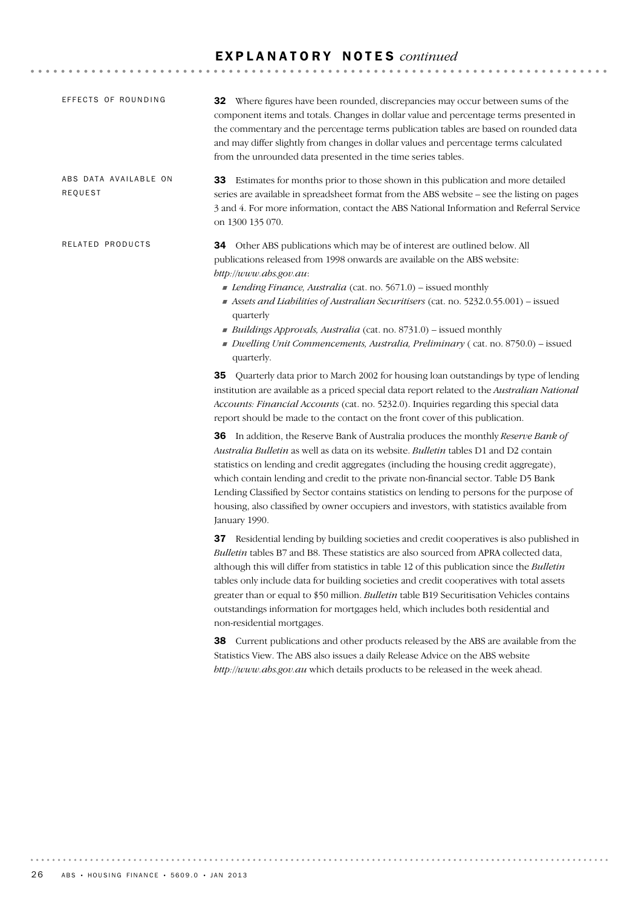| EFFECTS OF ROUNDING              | <b>32</b> Where figures have been rounded, discrepancies may occur between sums of the<br>component items and totals. Changes in dollar value and percentage terms presented in<br>the commentary and the percentage terms publication tables are based on rounded data<br>and may differ slightly from changes in dollar values and percentage terms calculated<br>from the unrounded data presented in the time series tables.                                                                                                                                                                 |
|----------------------------------|--------------------------------------------------------------------------------------------------------------------------------------------------------------------------------------------------------------------------------------------------------------------------------------------------------------------------------------------------------------------------------------------------------------------------------------------------------------------------------------------------------------------------------------------------------------------------------------------------|
| ABS DATA AVAILABLE ON<br>REQUEST | 33 Estimates for months prior to those shown in this publication and more detailed<br>series are available in spreadsheet format from the ABS website - see the listing on pages<br>3 and 4. For more information, contact the ABS National Information and Referral Service<br>on 1300 135 070.                                                                                                                                                                                                                                                                                                 |
| RELATED PRODUCTS                 | 34 Other ABS publications which may be of interest are outlined below. All<br>publications released from 1998 onwards are available on the ABS website:<br>bttp://www.abs.gov.au:<br>Lending Finance, Australia (cat. no. 5671.0) - issued monthly<br>Assets and Liabilities of Australian Securitisers (cat. no. 5232.0.55.001) - issued<br>quarterly<br>Buildings Approvals, Australia (cat. no. 8731.0) - issued monthly<br>Dwelling Unit Commencements, Australia, Preliminary (cat. no. 8750.0) - issued<br>quarterly.                                                                      |
|                                  | 35 Quarterly data prior to March 2002 for housing loan outstandings by type of lending<br>institution are available as a priced special data report related to the Australian National<br>Accounts: Financial Accounts (cat. no. 5232.0). Inquiries regarding this special data<br>report should be made to the contact on the front cover of this publication.                                                                                                                                                                                                                                  |
|                                  | 36 In addition, the Reserve Bank of Australia produces the monthly Reserve Bank of<br>Australia Bulletin as well as data on its website. Bulletin tables D1 and D2 contain<br>statistics on lending and credit aggregates (including the housing credit aggregate),<br>which contain lending and credit to the private non-financial sector. Table D5 Bank<br>Lending Classified by Sector contains statistics on lending to persons for the purpose of<br>housing, also classified by owner occupiers and investors, with statistics available from<br>January 1990.                            |
|                                  | 37 Residential lending by building societies and credit cooperatives is also published in<br>Bulletin tables B7 and B8. These statistics are also sourced from APRA collected data,<br>although this will differ from statistics in table 12 of this publication since the Bulletin<br>tables only include data for building societies and credit cooperatives with total assets<br>greater than or equal to \$50 million. Bulletin table B19 Securitisation Vehicles contains<br>outstandings information for mortgages held, which includes both residential and<br>non-residential mortgages. |
|                                  | 38 Current publications and other products released by the ABS are available from the<br>Statistics View. The ABS also issues a daily Release Advice on the ABS website<br>http://www.abs.gov.au which details products to be released in the week ahead.                                                                                                                                                                                                                                                                                                                                        |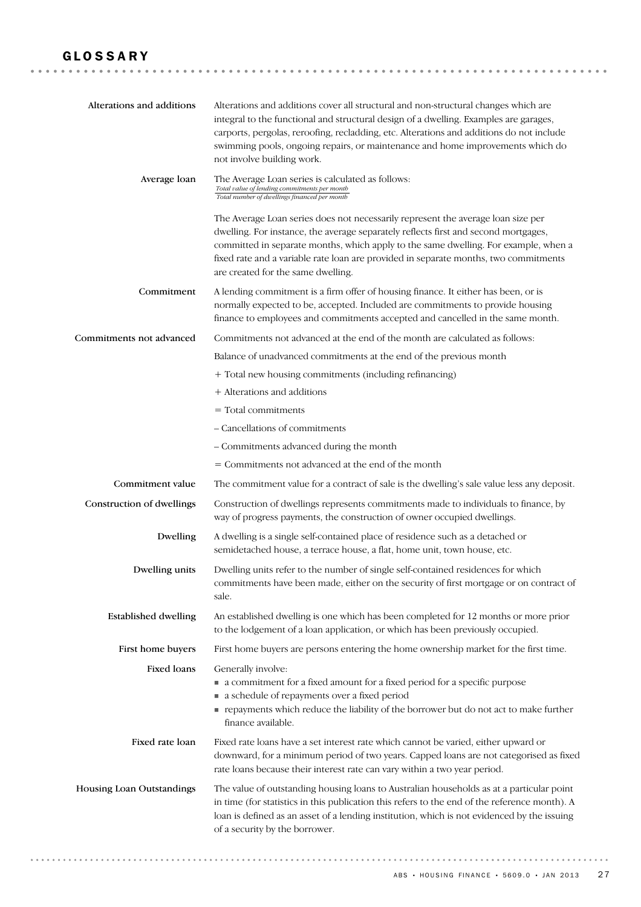| Alterations and additions   | Alterations and additions cover all structural and non-structural changes which are<br>integral to the functional and structural design of a dwelling. Examples are garages,<br>carports, pergolas, reroofing, recladding, etc. Alterations and additions do not include<br>swimming pools, ongoing repairs, or maintenance and home improvements which do<br>not involve building work.     |
|-----------------------------|----------------------------------------------------------------------------------------------------------------------------------------------------------------------------------------------------------------------------------------------------------------------------------------------------------------------------------------------------------------------------------------------|
| Average loan                | The Average Loan series is calculated as follows:<br>Total value of lending commitments per month<br>Total number of dwellings financed per month                                                                                                                                                                                                                                            |
|                             | The Average Loan series does not necessarily represent the average loan size per<br>dwelling. For instance, the average separately reflects first and second mortgages,<br>committed in separate months, which apply to the same dwelling. For example, when a<br>fixed rate and a variable rate loan are provided in separate months, two commitments<br>are created for the same dwelling. |
| Commitment                  | A lending commitment is a firm offer of housing finance. It either has been, or is<br>normally expected to be, accepted. Included are commitments to provide housing<br>finance to employees and commitments accepted and cancelled in the same month.                                                                                                                                       |
| Commitments not advanced    | Commitments not advanced at the end of the month are calculated as follows:                                                                                                                                                                                                                                                                                                                  |
|                             | Balance of unadvanced commitments at the end of the previous month                                                                                                                                                                                                                                                                                                                           |
|                             | + Total new housing commitments (including refinancing)                                                                                                                                                                                                                                                                                                                                      |
|                             | + Alterations and additions                                                                                                                                                                                                                                                                                                                                                                  |
|                             | $=$ Total commitments                                                                                                                                                                                                                                                                                                                                                                        |
|                             | - Cancellations of commitments                                                                                                                                                                                                                                                                                                                                                               |
|                             | - Commitments advanced during the month                                                                                                                                                                                                                                                                                                                                                      |
|                             | = Commitments not advanced at the end of the month                                                                                                                                                                                                                                                                                                                                           |
| Commitment value            | The commitment value for a contract of sale is the dwelling's sale value less any deposit.                                                                                                                                                                                                                                                                                                   |
| Construction of dwellings   | Construction of dwellings represents commitments made to individuals to finance, by<br>way of progress payments, the construction of owner occupied dwellings.                                                                                                                                                                                                                               |
| Dwelling                    | A dwelling is a single self-contained place of residence such as a detached or<br>semidetached house, a terrace house, a flat, home unit, town house, etc.                                                                                                                                                                                                                                   |
| Dwelling units              | Dwelling units refer to the number of single self-contained residences for which<br>commitments have been made, either on the security of first mortgage or on contract of<br>sale.                                                                                                                                                                                                          |
| <b>Established dwelling</b> | An established dwelling is one which has been completed for 12 months or more prior<br>to the lodgement of a loan application, or which has been previously occupied.                                                                                                                                                                                                                        |
| First home buyers           | First home buyers are persons entering the home ownership market for the first time.                                                                                                                                                                                                                                                                                                         |
| <b>Fixed loans</b>          | Generally involve:<br>• a commitment for a fixed amount for a fixed period for a specific purpose<br>• a schedule of repayments over a fixed period<br>repayments which reduce the liability of the borrower but do not act to make further<br>finance available.                                                                                                                            |
| Fixed rate loan             | Fixed rate loans have a set interest rate which cannot be varied, either upward or<br>downward, for a minimum period of two years. Capped loans are not categorised as fixed<br>rate loans because their interest rate can vary within a two year period.                                                                                                                                    |
| Housing Loan Outstandings   | The value of outstanding housing loans to Australian households as at a particular point<br>in time (for statistics in this publication this refers to the end of the reference month). A<br>loan is defined as an asset of a lending institution, which is not evidenced by the issuing<br>of a security by the borrower.                                                                   |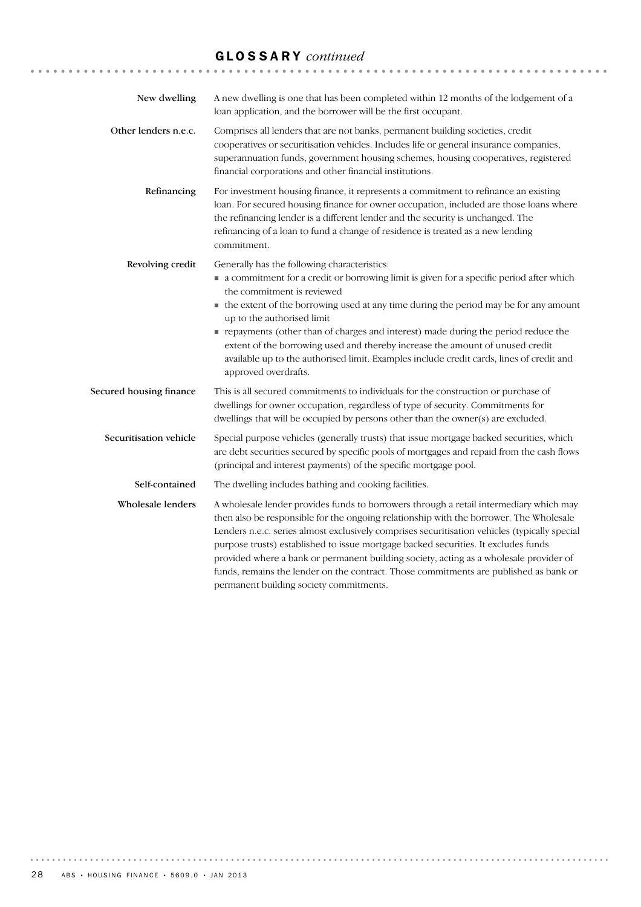# GLOSSARY *continued*

| New dwelling            | A new dwelling is one that has been completed within 12 months of the lodgement of a<br>loan application, and the borrower will be the first occupant.                                                                                                                                                                                                                                                                                                                                                                                                                                                |
|-------------------------|-------------------------------------------------------------------------------------------------------------------------------------------------------------------------------------------------------------------------------------------------------------------------------------------------------------------------------------------------------------------------------------------------------------------------------------------------------------------------------------------------------------------------------------------------------------------------------------------------------|
| Other lenders n.e.c.    | Comprises all lenders that are not banks, permanent building societies, credit<br>cooperatives or securitisation vehicles. Includes life or general insurance companies,<br>superannuation funds, government housing schemes, housing cooperatives, registered<br>financial corporations and other financial institutions.                                                                                                                                                                                                                                                                            |
| Refinancing             | For investment housing finance, it represents a commitment to refinance an existing<br>loan. For secured housing finance for owner occupation, included are those loans where<br>the refinancing lender is a different lender and the security is unchanged. The<br>refinancing of a loan to fund a change of residence is treated as a new lending<br>commitment.                                                                                                                                                                                                                                    |
| Revolving credit        | Generally has the following characteristics:<br>• a commitment for a credit or borrowing limit is given for a specific period after which<br>the commitment is reviewed<br>• the extent of the borrowing used at any time during the period may be for any amount<br>up to the authorised limit<br>repayments (other than of charges and interest) made during the period reduce the<br>extent of the borrowing used and thereby increase the amount of unused credit<br>available up to the authorised limit. Examples include credit cards, lines of credit and<br>approved overdrafts.             |
| Secured housing finance | This is all secured commitments to individuals for the construction or purchase of<br>dwellings for owner occupation, regardless of type of security. Commitments for<br>dwellings that will be occupied by persons other than the owner(s) are excluded.                                                                                                                                                                                                                                                                                                                                             |
| Securitisation vehicle  | Special purpose vehicles (generally trusts) that issue mortgage backed securities, which<br>are debt securities secured by specific pools of mortgages and repaid from the cash flows<br>(principal and interest payments) of the specific mortgage pool.                                                                                                                                                                                                                                                                                                                                             |
| Self-contained          | The dwelling includes bathing and cooking facilities.                                                                                                                                                                                                                                                                                                                                                                                                                                                                                                                                                 |
| Wholesale lenders       | A wholesale lender provides funds to borrowers through a retail intermediary which may<br>then also be responsible for the ongoing relationship with the borrower. The Wholesale<br>Lenders n.e.c. series almost exclusively comprises securitisation vehicles (typically special<br>purpose trusts) established to issue mortgage backed securities. It excludes funds<br>provided where a bank or permanent building society, acting as a wholesale provider of<br>funds, remains the lender on the contract. Those commitments are published as bank or<br>permanent building society commitments. |